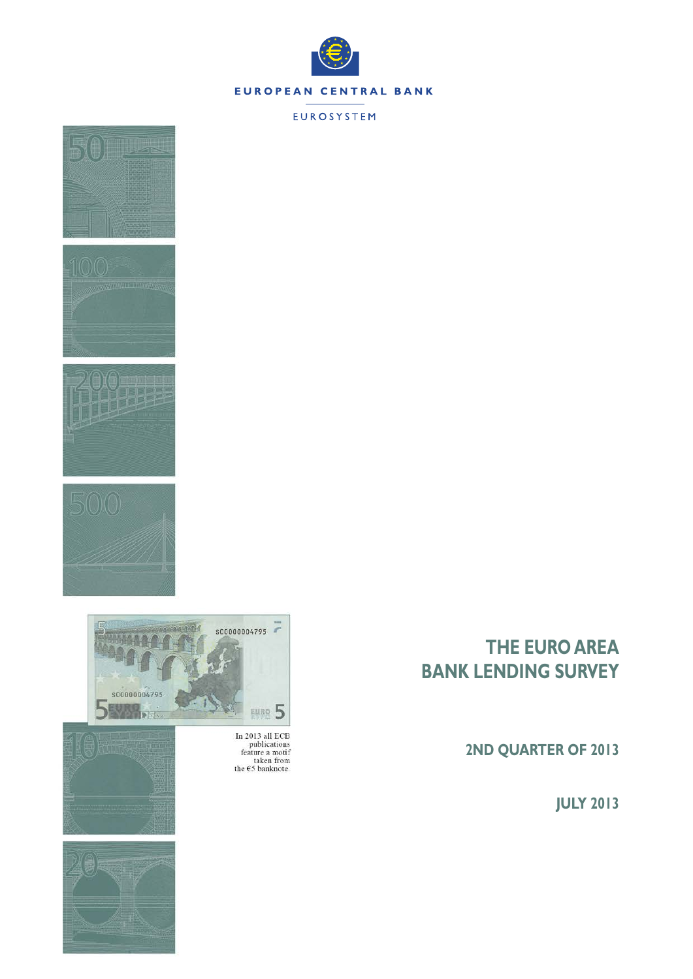

### EUROSYSTEM





In 2013 all ECB<br>publications<br>feature a motif<br>taken from<br>the  $\epsilon$ 5 banknote.





# **THE EURO AREA BANK LENDING SURVEY**

**2ND QUARTER OF 2013**

**JULY 2013**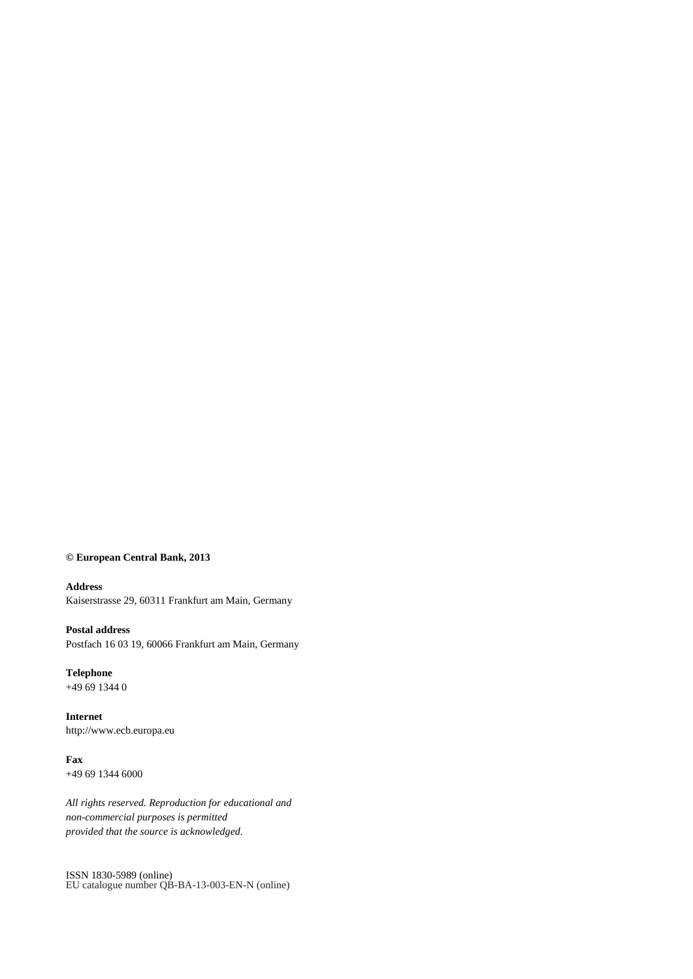### **© European Central Bank, 2013**

#### **Address**

Kaiserstrasse 29, 60311 Frankfurt am Main, Germany

### **Postal address**

Postfach 16 03 19, 60066 Frankfurt am Main, Germany

### **Telephone** +49 69 1344 0

**Internet** http://www.ecb.europa.eu

# **Fax**

+49 69 1344 6000

*All rights reserved. Reproduction for educational and non-commercial purposes is permitted provided that the source is acknowledged.*

ISSN 1830-5989 (online) EU catalogue number QB-BA-13-003-EN-N (online)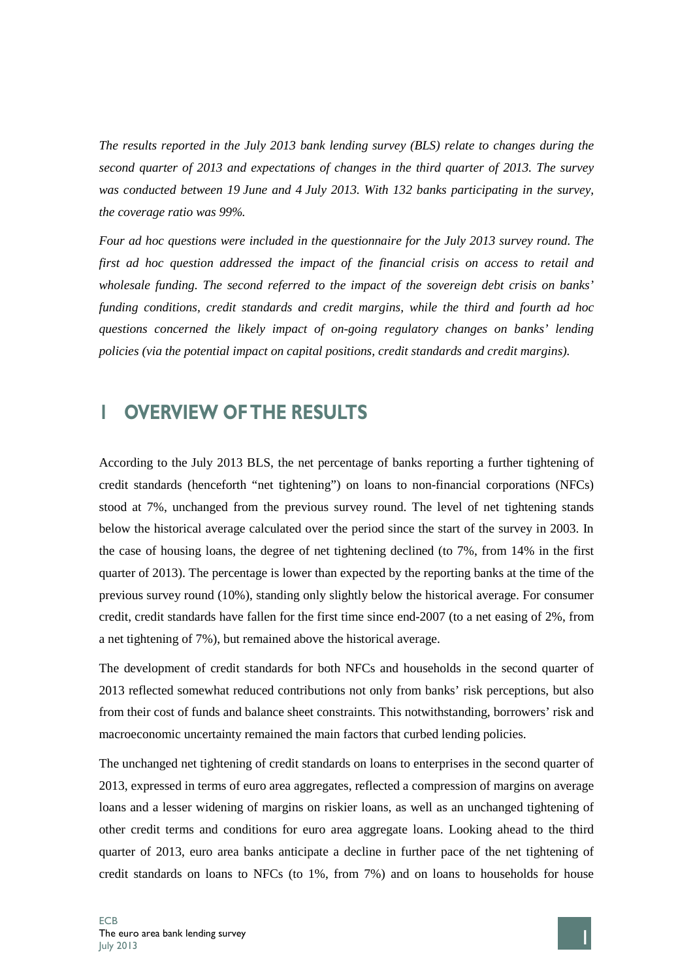*The results reported in the July 2013 bank lending survey (BLS) relate to changes during the second quarter of 2013 and expectations of changes in the third quarter of 2013. The survey was conducted between 19 June and 4 July 2013. With 132 banks participating in the survey, the coverage ratio was 99%.*

*Four ad hoc questions were included in the questionnaire for the July 2013 survey round. The first ad hoc question addressed the impact of the financial crisis on access to retail and wholesale funding. The second referred to the impact of the sovereign debt crisis on banks' funding conditions, credit standards and credit margins, while the third and fourth ad hoc questions concerned the likely impact of on-going regulatory changes on banks' lending policies (via the potential impact on capital positions, credit standards and credit margins).*

# **1 OVERVIEW OF THE RESULTS**

According to the July 2013 BLS, the net percentage of banks reporting a further tightening of credit standards (henceforth "net tightening") on loans to non-financial corporations (NFCs) stood at 7%, unchanged from the previous survey round. The level of net tightening stands below the historical average calculated over the period since the start of the survey in 2003. In the case of housing loans, the degree of net tightening declined (to 7%, from 14% in the first quarter of 2013). The percentage is lower than expected by the reporting banks at the time of the previous survey round (10%), standing only slightly below the historical average. For consumer credit, credit standards have fallen for the first time since end-2007 (to a net easing of 2%, from a net tightening of 7%), but remained above the historical average.

The development of credit standards for both NFCs and households in the second quarter of 2013 reflected somewhat reduced contributions not only from banks' risk perceptions, but also from their cost of funds and balance sheet constraints. This notwithstanding, borrowers' risk and macroeconomic uncertainty remained the main factors that curbed lending policies.

The unchanged net tightening of credit standards on loans to enterprises in the second quarter of 2013, expressed in terms of euro area aggregates, reflected a compression of margins on average loans and a lesser widening of margins on riskier loans, as well as an unchanged tightening of other credit terms and conditions for euro area aggregate loans. Looking ahead to the third quarter of 2013, euro area banks anticipate a decline in further pace of the net tightening of credit standards on loans to NFCs (to 1%, from 7%) and on loans to households for house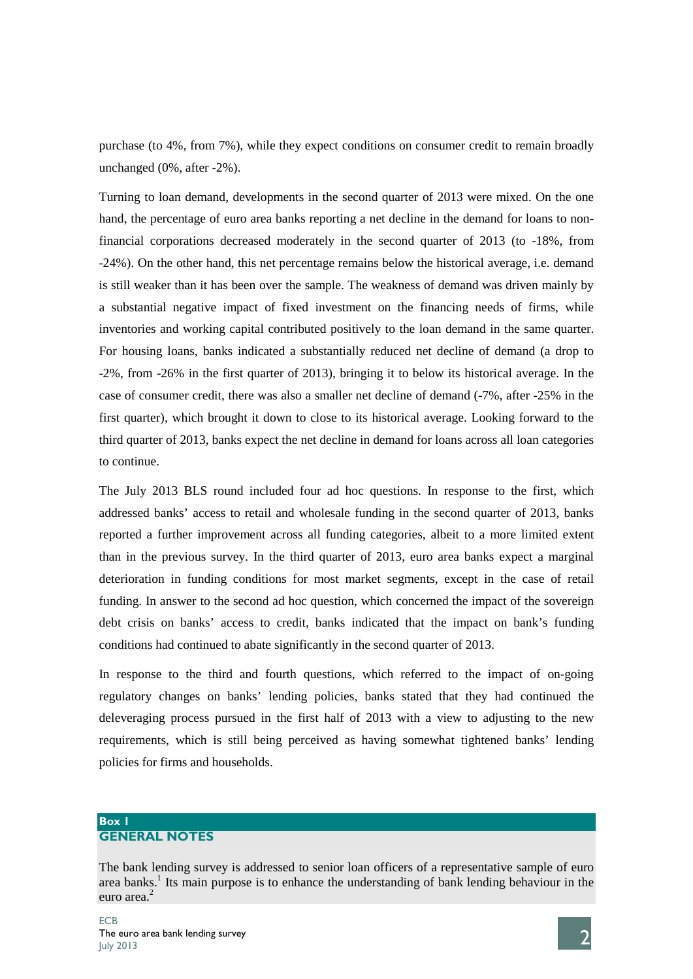purchase (to 4%, from 7%), while they expect conditions on consumer credit to remain broadly unchanged (0%, after -2%).

Turning to loan demand, developments in the second quarter of 2013 were mixed. On the one hand, the percentage of euro area banks reporting a net decline in the demand for loans to nonfinancial corporations decreased moderately in the second quarter of 2013 (to -18%, from -24%). On the other hand, this net percentage remains below the historical average, i.e. demand is still weaker than it has been over the sample. The weakness of demand was driven mainly by a substantial negative impact of fixed investment on the financing needs of firms, while inventories and working capital contributed positively to the loan demand in the same quarter. For housing loans, banks indicated a substantially reduced net decline of demand (a drop to -2%, from -26% in the first quarter of 2013), bringing it to below its historical average. In the case of consumer credit, there was also a smaller net decline of demand (-7%, after -25% in the first quarter), which brought it down to close to its historical average. Looking forward to the third quarter of 2013, banks expect the net decline in demand for loans across all loan categories to continue.

The July 2013 BLS round included four ad hoc questions. In response to the first, which addressed banks' access to retail and wholesale funding in the second quarter of 2013, banks reported a further improvement across all funding categories, albeit to a more limited extent than in the previous survey. In the third quarter of 2013, euro area banks expect a marginal deterioration in funding conditions for most market segments, except in the case of retail funding. In answer to the second ad hoc question, which concerned the impact of the sovereign debt crisis on banks' access to credit, banks indicated that the impact on bank's funding conditions had continued to abate significantly in the second quarter of 2013.

In response to the third and fourth questions, which referred to the impact of on-going regulatory changes on banks' lending policies, banks stated that they had continued the deleveraging process pursued in the first half of 2013 with a view to adjusting to the new requirements, which is still being perceived as having somewhat tightened banks' lending policies for firms and households.

### **Box 1 GENERAL NOTES**

The bank lending survey is addressed to senior loan officers of a representative sample of euro area banks.<sup>1</sup> Its main purpose is to enhance the understanding of bank lending behaviour in the euro area.<sup>2</sup>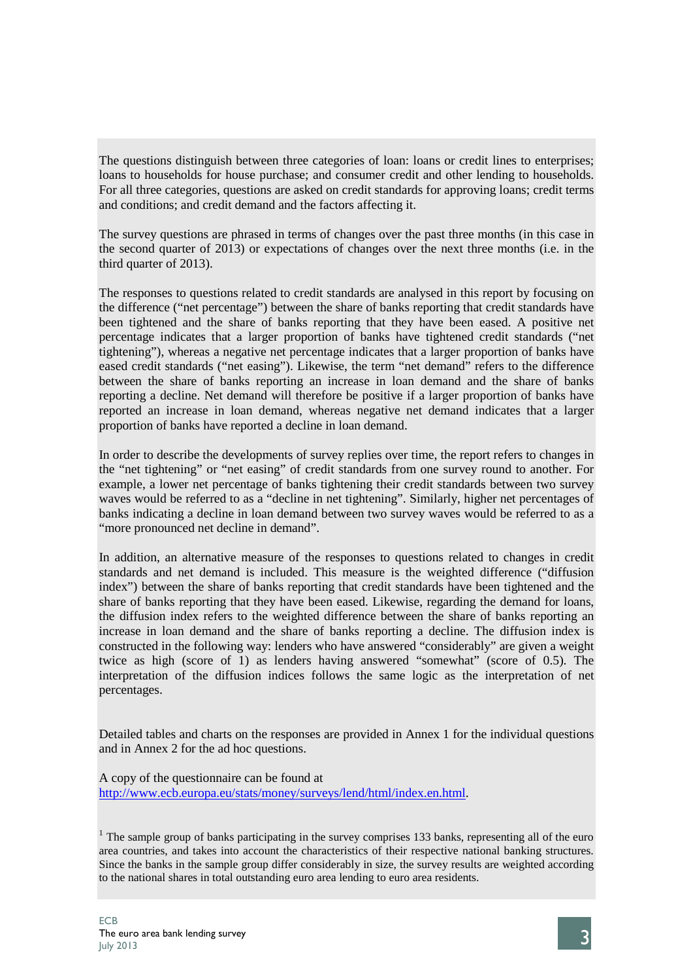The questions distinguish between three categories of loan: loans or credit lines to enterprises; loans to households for house purchase; and consumer credit and other lending to households. For all three categories, questions are asked on credit standards for approving loans; credit terms and conditions; and credit demand and the factors affecting it.

The survey questions are phrased in terms of changes over the past three months (in this case in the second quarter of 2013) or expectations of changes over the next three months (i.e. in the third quarter of 2013).

The responses to questions related to credit standards are analysed in this report by focusing on the difference ("net percentage") between the share of banks reporting that credit standards have been tightened and the share of banks reporting that they have been eased. A positive net percentage indicates that a larger proportion of banks have tightened credit standards ("net tightening"), whereas a negative net percentage indicates that a larger proportion of banks have eased credit standards ("net easing"). Likewise, the term "net demand" refers to the difference between the share of banks reporting an increase in loan demand and the share of banks reporting a decline. Net demand will therefore be positive if a larger proportion of banks have reported an increase in loan demand, whereas negative net demand indicates that a larger proportion of banks have reported a decline in loan demand.

In order to describe the developments of survey replies over time, the report refers to changes in the "net tightening" or "net easing" of credit standards from one survey round to another. For example, a lower net percentage of banks tightening their credit standards between two survey waves would be referred to as a "decline in net tightening". Similarly, higher net percentages of banks indicating a decline in loan demand between two survey waves would be referred to as a "more pronounced net decline in demand".

In addition, an alternative measure of the responses to questions related to changes in credit standards and net demand is included. This measure is the weighted difference ("diffusion index") between the share of banks reporting that credit standards have been tightened and the share of banks reporting that they have been eased. Likewise, regarding the demand for loans, the diffusion index refers to the weighted difference between the share of banks reporting an increase in loan demand and the share of banks reporting a decline. The diffusion index is constructed in the following way: lenders who have answered "considerably" are given a weight twice as high (score of 1) as lenders having answered "somewhat" (score of 0.5). The interpretation of the diffusion indices follows the same logic as the interpretation of net percentages.

Detailed tables and charts on the responses are provided in Annex 1 for the individual questions and in Annex 2 for the ad hoc questions.

A copy of the questionnaire can be found at [http://www.ecb.europa.eu/stats/money/surveys/lend/html/index.en.html.](http://www.ecb.europa.eu/stats/money/surveys/lend/html/index.en.html)

 $1$  The sample group of banks participating in the survey comprises 133 banks, representing all of the euro area countries, and takes into account the characteristics of their respective national banking structures. Since the banks in the sample group differ considerably in size, the survey results are weighted according to the national shares in total outstanding euro area lending to euro area residents.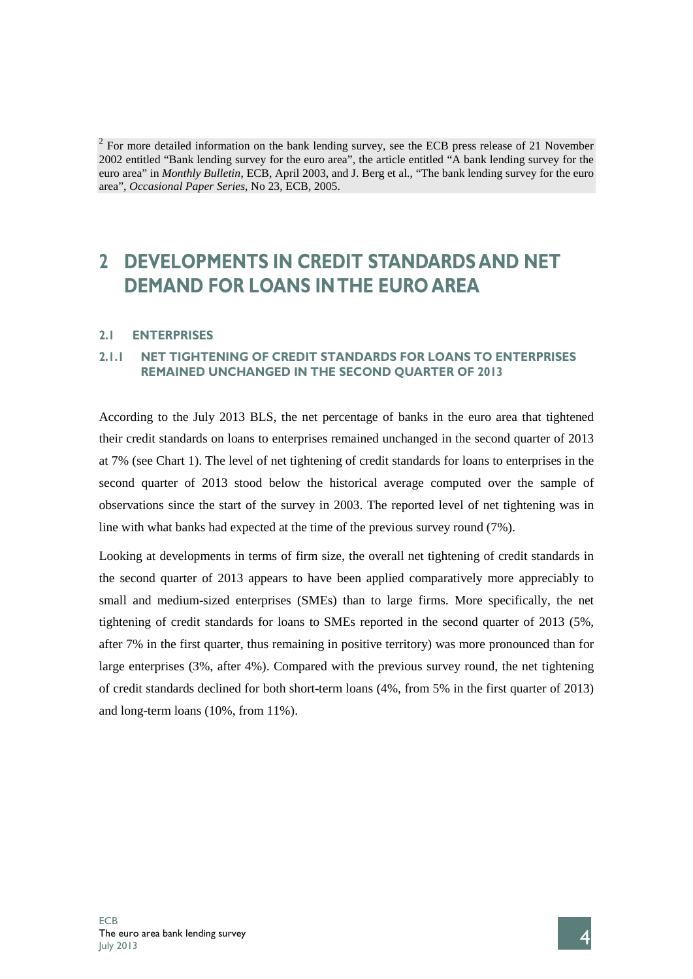$2$  For more detailed information on the bank lending survey, see the ECB press release of 21 November 2002 entitled "Bank lending survey for the euro area", the article entitled "A bank lending survey for the euro area" in *Monthly Bulletin*, ECB, April 2003, and J. Berg et al., "The bank lending survey for the euro area", *Occasional Paper Series*, No 23, ECB, 2005.

# **2 DEVELOPMENTS IN CREDIT STANDARDS AND NET DEMAND FOR LOANS IN THE EURO AREA**

### **2.1 ENTERPRISES**

# **2.1.1 NET TIGHTENING OF CREDIT STANDARDS FOR LOANS TO ENTERPRISES REMAINED UNCHANGED IN THE SECOND QUARTER OF 2013**

According to the July 2013 BLS, the net percentage of banks in the euro area that tightened their credit standards on loans to enterprises remained unchanged in the second quarter of 2013 at 7% (see Chart 1). The level of net tightening of credit standards for loans to enterprises in the second quarter of 2013 stood below the historical average computed over the sample of observations since the start of the survey in 2003. The reported level of net tightening was in line with what banks had expected at the time of the previous survey round (7%).

Looking at developments in terms of firm size, the overall net tightening of credit standards in the second quarter of 2013 appears to have been applied comparatively more appreciably to small and medium-sized enterprises (SMEs) than to large firms. More specifically, the net tightening of credit standards for loans to SMEs reported in the second quarter of 2013 (5%, after 7% in the first quarter, thus remaining in positive territory) was more pronounced than for large enterprises (3%, after 4%). Compared with the previous survey round, the net tightening of credit standards declined for both short-term loans (4%, from 5% in the first quarter of 2013) and long-term loans (10%, from 11%).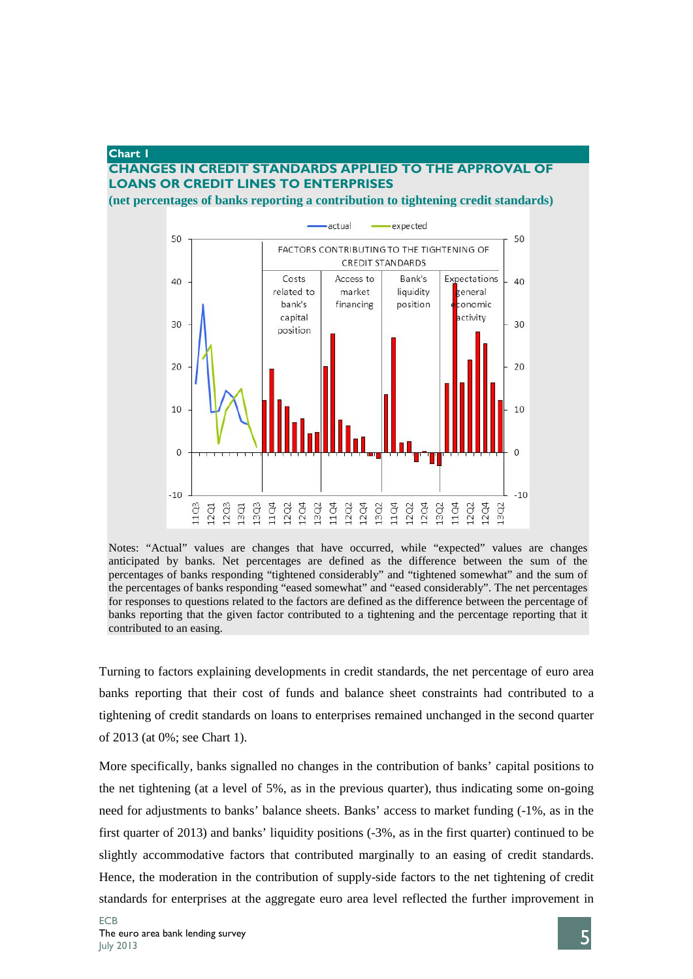### **Chart 1 CHANGES IN CREDIT STANDARDS APPLIED TO THE APPROVAL OF LOANS OR CREDIT LINES TO ENTERPRISES (net percentages of banks reporting a contribution to tightening credit standards)**





Notes: "Actual" values are changes that have occurred, while "expected" values are changes anticipated by banks. Net percentages are defined as the difference between the sum of the percentages of banks responding "tightened considerably" and "tightened somewhat" and the sum of the percentages of banks responding "eased somewhat" and "eased considerably". The net percentages for responses to questions related to the factors are defined as the difference between the percentage of banks reporting that the given factor contributed to a tightening and the percentage reporting that it contributed to an easing.

Turning to factors explaining developments in credit standards, the net percentage of euro area banks reporting that their cost of funds and balance sheet constraints had contributed to a tightening of credit standards on loans to enterprises remained unchanged in the second quarter of 2013 (at 0%; see Chart 1).

More specifically, banks signalled no changes in the contribution of banks' capital positions to the net tightening (at a level of 5%, as in the previous quarter), thus indicating some on-going need for adjustments to banks' balance sheets. Banks' access to market funding (-1%, as in the first quarter of 2013) and banks' liquidity positions (-3%, as in the first quarter) continued to be slightly accommodative factors that contributed marginally to an easing of credit standards. Hence, the moderation in the contribution of supply-side factors to the net tightening of credit standards for enterprises at the aggregate euro area level reflected the further improvement in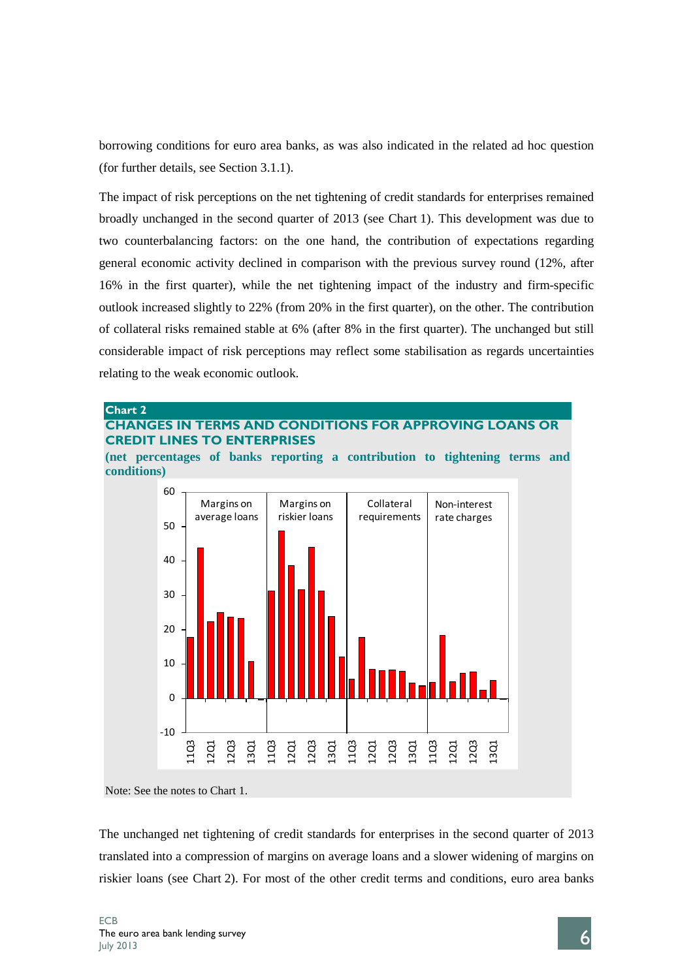borrowing conditions for euro area banks, as was also indicated in the related ad hoc question (for further details, see Section 3.1.1).

The impact of risk perceptions on the net tightening of credit standards for enterprises remained broadly unchanged in the second quarter of 2013 (see Chart 1). This development was due to two counterbalancing factors: on the one hand, the contribution of expectations regarding general economic activity declined in comparison with the previous survey round (12%, after 16% in the first quarter), while the net tightening impact of the industry and firm-specific outlook increased slightly to 22% (from 20% in the first quarter), on the other. The contribution of collateral risks remained stable at 6% (after 8% in the first quarter). The unchanged but still considerable impact of risk perceptions may reflect some stabilisation as regards uncertainties relating to the weak economic outlook.

# **Chart 2 CHANGES IN TERMS AND CONDITIONS FOR APPROVING LOANS OR CREDIT LINES TO ENTERPRISES**

**(net percentages of banks reporting a contribution to tightening terms and conditions)**



The unchanged net tightening of credit standards for enterprises in the second quarter of 2013 translated into a compression of margins on average loans and a slower widening of margins on riskier loans (see Chart 2). For most of the other credit terms and conditions, euro area banks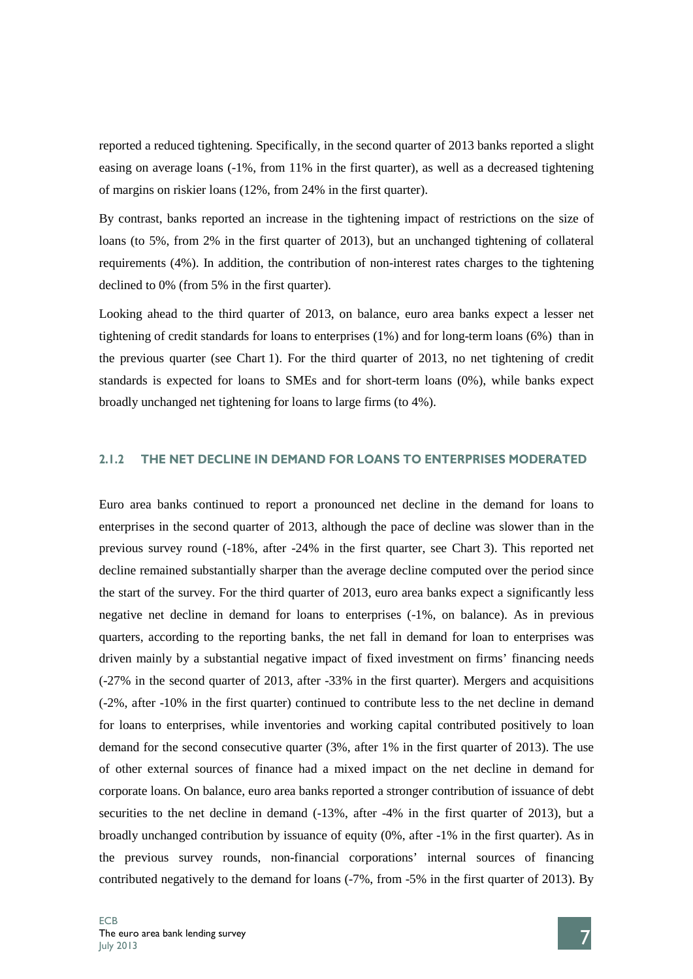reported a reduced tightening. Specifically, in the second quarter of 2013 banks reported a slight easing on average loans (-1%, from 11% in the first quarter), as well as a decreased tightening of margins on riskier loans (12%, from 24% in the first quarter).

By contrast, banks reported an increase in the tightening impact of restrictions on the size of loans (to 5%, from 2% in the first quarter of 2013), but an unchanged tightening of collateral requirements (4%). In addition, the contribution of non-interest rates charges to the tightening declined to 0% (from 5% in the first quarter).

Looking ahead to the third quarter of 2013, on balance, euro area banks expect a lesser net tightening of credit standards for loans to enterprises (1%) and for long-term loans (6%) than in the previous quarter (see Chart 1). For the third quarter of 2013, no net tightening of credit standards is expected for loans to SMEs and for short-term loans (0%), while banks expect broadly unchanged net tightening for loans to large firms (to 4%).

### **2.1.2 THE NET DECLINE IN DEMAND FOR LOANS TO ENTERPRISES MODERATED**

Euro area banks continued to report a pronounced net decline in the demand for loans to enterprises in the second quarter of 2013, although the pace of decline was slower than in the previous survey round (-18%, after -24% in the first quarter, see Chart 3). This reported net decline remained substantially sharper than the average decline computed over the period since the start of the survey. For the third quarter of 2013, euro area banks expect a significantly less negative net decline in demand for loans to enterprises (-1%, on balance). As in previous quarters, according to the reporting banks, the net fall in demand for loan to enterprises was driven mainly by a substantial negative impact of fixed investment on firms' financing needs (-27% in the second quarter of 2013, after -33% in the first quarter). Mergers and acquisitions (-2%, after -10% in the first quarter) continued to contribute less to the net decline in demand for loans to enterprises, while inventories and working capital contributed positively to loan demand for the second consecutive quarter (3%, after 1% in the first quarter of 2013). The use of other external sources of finance had a mixed impact on the net decline in demand for corporate loans. On balance, euro area banks reported a stronger contribution of issuance of debt securities to the net decline in demand  $(-13\% ,$  after -4% in the first quarter of 2013), but a broadly unchanged contribution by issuance of equity (0%, after -1% in the first quarter). As in the previous survey rounds, non-financial corporations' internal sources of financing contributed negatively to the demand for loans (-7%, from -5% in the first quarter of 2013). By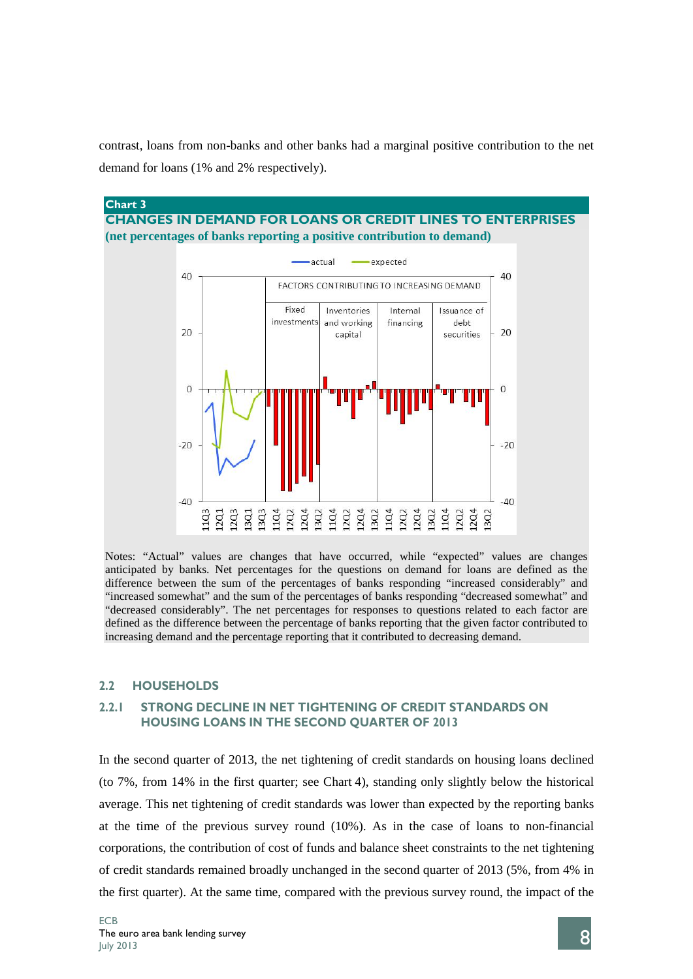contrast, loans from non-banks and other banks had a marginal positive contribution to the net demand for loans (1% and 2% respectively).



Notes: "Actual" values are changes that have occurred, while "expected" values are changes anticipated by banks. Net percentages for the questions on demand for loans are defined as the difference between the sum of the percentages of banks responding "increased considerably" and "increased somewhat" and the sum of the percentages of banks responding "decreased somewhat" and "decreased considerably". The net percentages for responses to questions related to each factor are defined as the difference between the percentage of banks reporting that the given factor contributed to increasing demand and the percentage reporting that it contributed to decreasing demand.

### **2.2 HOUSEHOLDS**

# **2.2.1 STRONG DECLINE IN NET TIGHTENING OF CREDIT STANDARDS ON HOUSING LOANS IN THE SECOND QUARTER OF 2013**

In the second quarter of 2013, the net tightening of credit standards on housing loans declined (to 7%, from 14% in the first quarter; see Chart 4), standing only slightly below the historical average. This net tightening of credit standards was lower than expected by the reporting banks at the time of the previous survey round (10%). As in the case of loans to non-financial corporations, the contribution of cost of funds and balance sheet constraints to the net tightening of credit standards remained broadly unchanged in the second quarter of 2013 (5%, from 4% in the first quarter). At the same time, compared with the previous survey round, the impact of the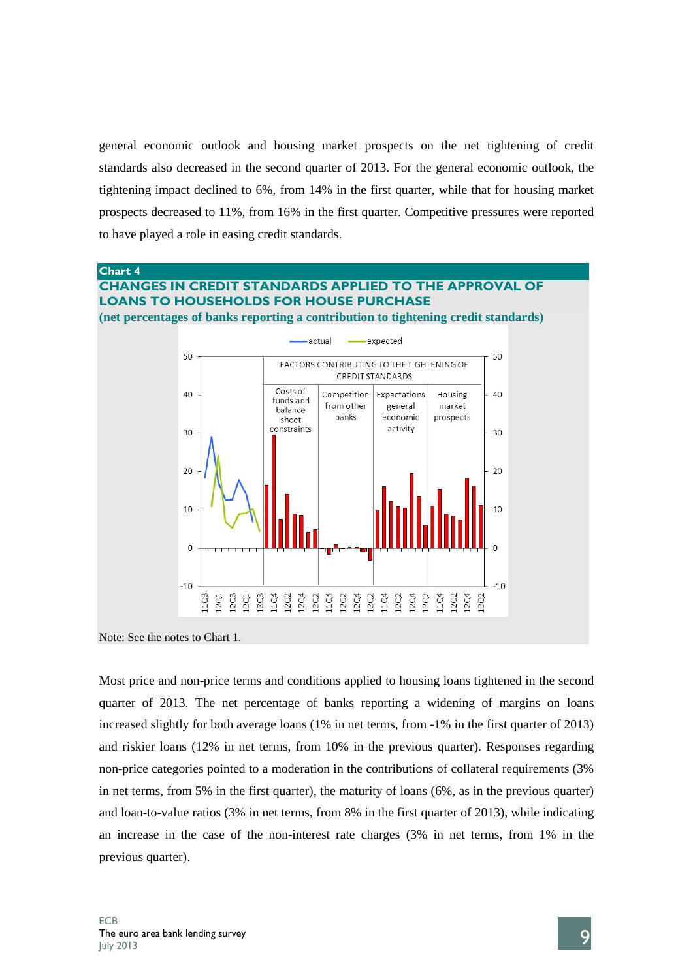general economic outlook and housing market prospects on the net tightening of credit standards also decreased in the second quarter of 2013. For the general economic outlook, the tightening impact declined to 6%, from 14% in the first quarter, while that for housing market prospects decreased to 11%, from 16% in the first quarter. Competitive pressures were reported to have played a role in easing credit standards.

### **Chart 4**

### **CHANGES IN CREDIT STANDARDS APPLIED TO THE APPROVAL OF LOANS TO HOUSEHOLDS FOR HOUSE PURCHASE (net percentages of banks reporting a contribution to tightening credit standards)**

actual expected 50 50 FACTORS CONTRIBUTING TO THE TIGHTENING OF CREDIT STANDARDS Costs of  $40$ Competition Expectations Housing  $40$ funds and from other market general halance hanks economic prospects cheet activity constraints  $30$  $30$  $20$  $20$ 10  $10$  $\Omega$  $-10$  $-10$ 12Q4 13Q2 11Q4 11Q4 12Q2 12Q4 13Q2 11Q4 1202 12Q2 12Q4 13Q2 11Q4 12Q2 12Q4 13Q3 3Q2 103  $12Q1$  $1203$  $13Q1$ 

Note: See the notes to Chart 1.

Most price and non-price terms and conditions applied to housing loans tightened in the second quarter of 2013. The net percentage of banks reporting a widening of margins on loans increased slightly for both average loans (1% in net terms, from -1% in the first quarter of 2013) and riskier loans (12% in net terms, from 10% in the previous quarter). Responses regarding non-price categories pointed to a moderation in the contributions of collateral requirements (3% in net terms, from 5% in the first quarter), the maturity of loans (6%, as in the previous quarter) and loan-to-value ratios (3% in net terms, from 8% in the first quarter of 2013), while indicating an increase in the case of the non-interest rate charges (3% in net terms, from 1% in the previous quarter).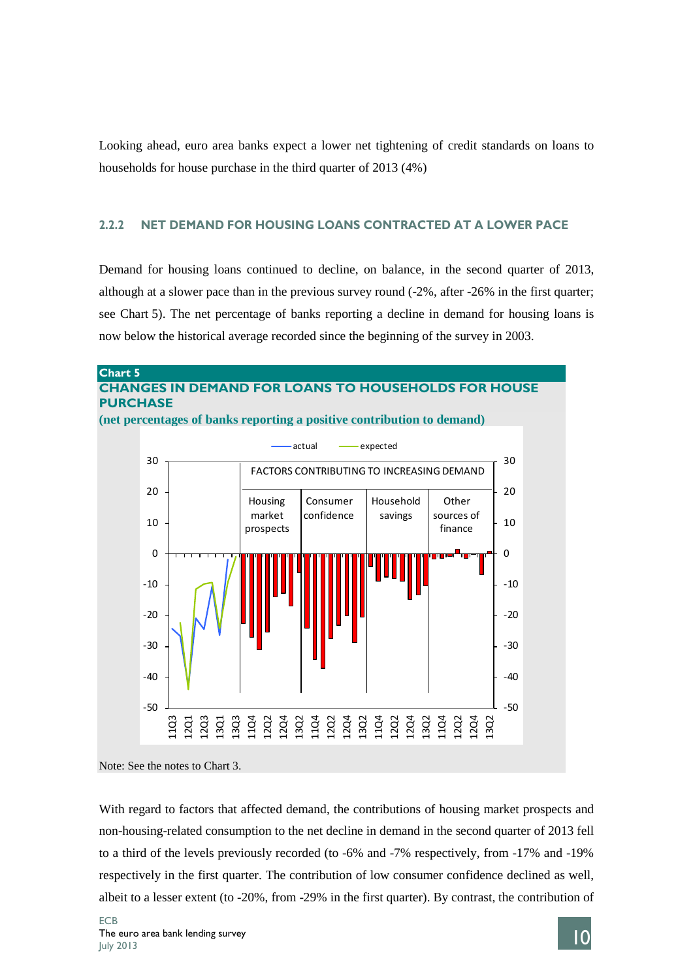Looking ahead, euro area banks expect a lower net tightening of credit standards on loans to households for house purchase in the third quarter of 2013 (4%)

## **2.2.2 NET DEMAND FOR HOUSING LOANS CONTRACTED AT A LOWER PACE**

Demand for housing loans continued to decline, on balance, in the second quarter of 2013, although at a slower pace than in the previous survey round (-2%, after -26% in the first quarter; see Chart 5). The net percentage of banks reporting a decline in demand for housing loans is now below the historical average recorded since the beginning of the survey in 2003.



Note: See the notes to Chart 3.

With regard to factors that affected demand, the contributions of housing market prospects and non-housing-related consumption to the net decline in demand in the second quarter of 2013 fell to a third of the levels previously recorded (to -6% and -7% respectively, from -17% and -19% respectively in the first quarter. The contribution of low consumer confidence declined as well, albeit to a lesser extent (to -20%, from -29% in the first quarter). By contrast, the contribution of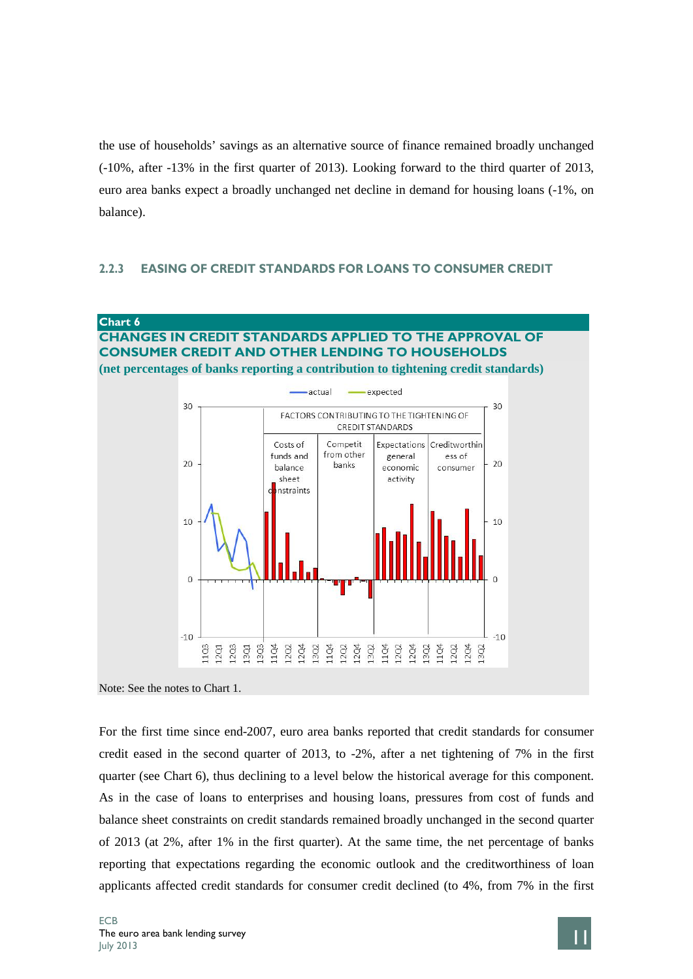the use of households' savings as an alternative source of finance remained broadly unchanged (-10%, after -13% in the first quarter of 2013). Looking forward to the third quarter of 2013, euro area banks expect a broadly unchanged net decline in demand for housing loans (-1%, on balance).

### **2.2.3 EASING OF CREDIT STANDARDS FOR LOANS TO CONSUMER CREDIT**



# **CHANGES IN CREDIT STANDARDS APPLIED TO THE APPROVAL OF CONSUMER CREDIT AND OTHER LENDING TO HOUSEHOLDS (net percentages of banks reporting a contribution to tightening credit standards)**



For the first time since end-2007, euro area banks reported that credit standards for consumer credit eased in the second quarter of 2013, to -2%, after a net tightening of 7% in the first quarter (see Chart 6), thus declining to a level below the historical average for this component. As in the case of loans to enterprises and housing loans, pressures from cost of funds and balance sheet constraints on credit standards remained broadly unchanged in the second quarter of 2013 (at 2%, after 1% in the first quarter). At the same time, the net percentage of banks reporting that expectations regarding the economic outlook and the creditworthiness of loan applicants affected credit standards for consumer credit declined (to 4%, from 7% in the first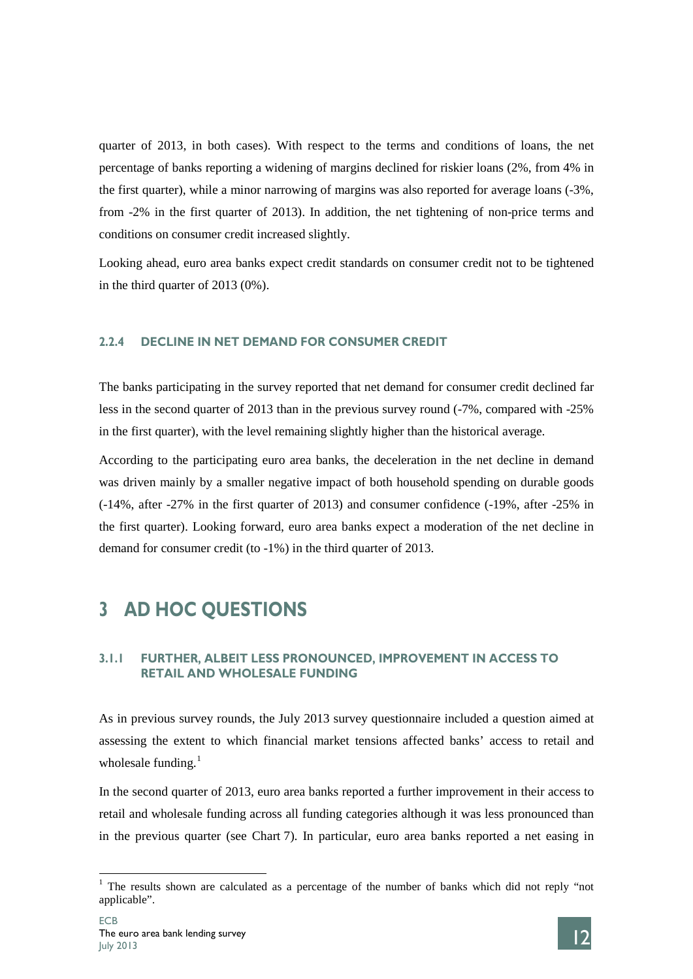quarter of 2013, in both cases). With respect to the terms and conditions of loans, the net percentage of banks reporting a widening of margins declined for riskier loans (2%, from 4% in the first quarter), while a minor narrowing of margins was also reported for average loans (-3%, from -2% in the first quarter of 2013). In addition, the net tightening of non-price terms and conditions on consumer credit increased slightly.

Looking ahead, euro area banks expect credit standards on consumer credit not to be tightened in the third quarter of 2013 (0%).

### **2.2.4 DECLINE IN NET DEMAND FOR CONSUMER CREDIT**

The banks participating in the survey reported that net demand for consumer credit declined far less in the second quarter of 2013 than in the previous survey round (-7%, compared with -25% in the first quarter), with the level remaining slightly higher than the historical average.

According to the participating euro area banks, the deceleration in the net decline in demand was driven mainly by a smaller negative impact of both household spending on durable goods (-14%, after -27% in the first quarter of 2013) and consumer confidence (-19%, after -25% in the first quarter). Looking forward, euro area banks expect a moderation of the net decline in demand for consumer credit (to -1%) in the third quarter of 2013.

# **3 AD HOC QUESTIONS**

# **3.1.1 FURTHER, ALBEIT LESS PRONOUNCED, IMPROVEMENT IN ACCESS TO RETAIL AND WHOLESALE FUNDING**

As in previous survey rounds, the July 2013 survey questionnaire included a question aimed at assessing the extent to which financial market tensions affected banks' access to retail and wholesale funding. $<sup>1</sup>$  $<sup>1</sup>$  $<sup>1</sup>$ </sup>

In the second quarter of 2013, euro area banks reported a further improvement in their access to retail and wholesale funding across all funding categories although it was less pronounced than in the previous quarter (see Chart 7). In particular, euro area banks reported a net easing in

<span id="page-13-0"></span> $1$  The results shown are calculated as a percentage of the number of banks which did not reply "not" applicable".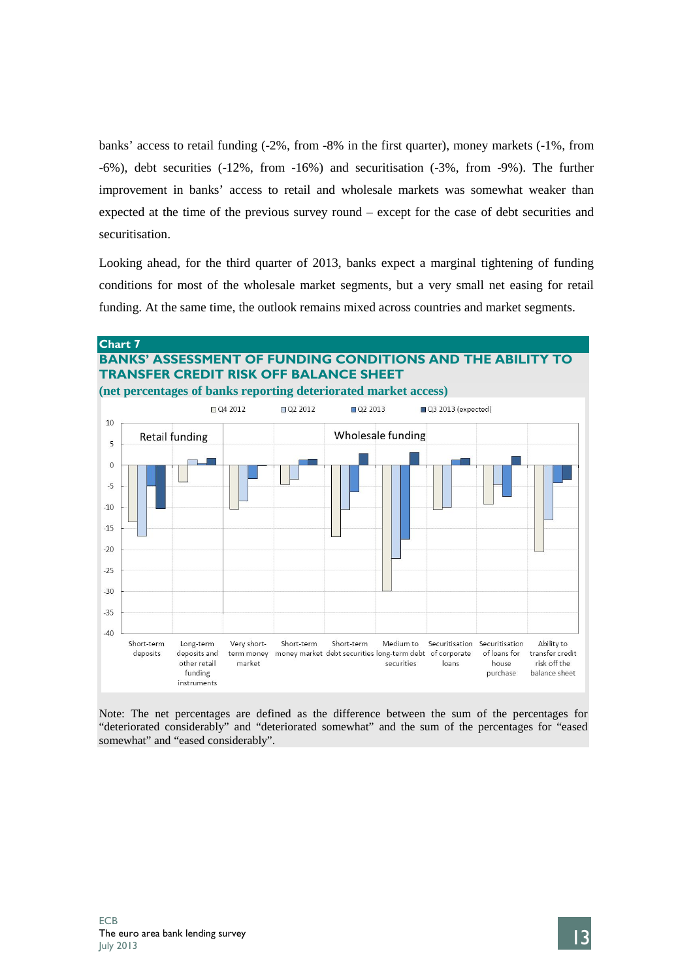banks' access to retail funding (-2%, from -8% in the first quarter), money markets (-1%, from -6%), debt securities (-12%, from -16%) and securitisation (-3%, from -9%). The further improvement in banks' access to retail and wholesale markets was somewhat weaker than expected at the time of the previous survey round – except for the case of debt securities and securitisation.

Looking ahead, for the third quarter of 2013, banks expect a marginal tightening of funding conditions for most of the wholesale market segments, but a very small net easing for retail funding. At the same time, the outlook remains mixed across countries and market segments.



# **BANKS' ASSESSMENT OF FUNDING CONDITIONS AND THE ABILITY TO TRANSFER CREDIT RISK OFF BALANCE SHEET**



Note: The net percentages are defined as the difference between the sum of the percentages for "deteriorated considerably" and "deteriorated somewhat" and the sum of the percentages for "eased somewhat" and "eased considerably".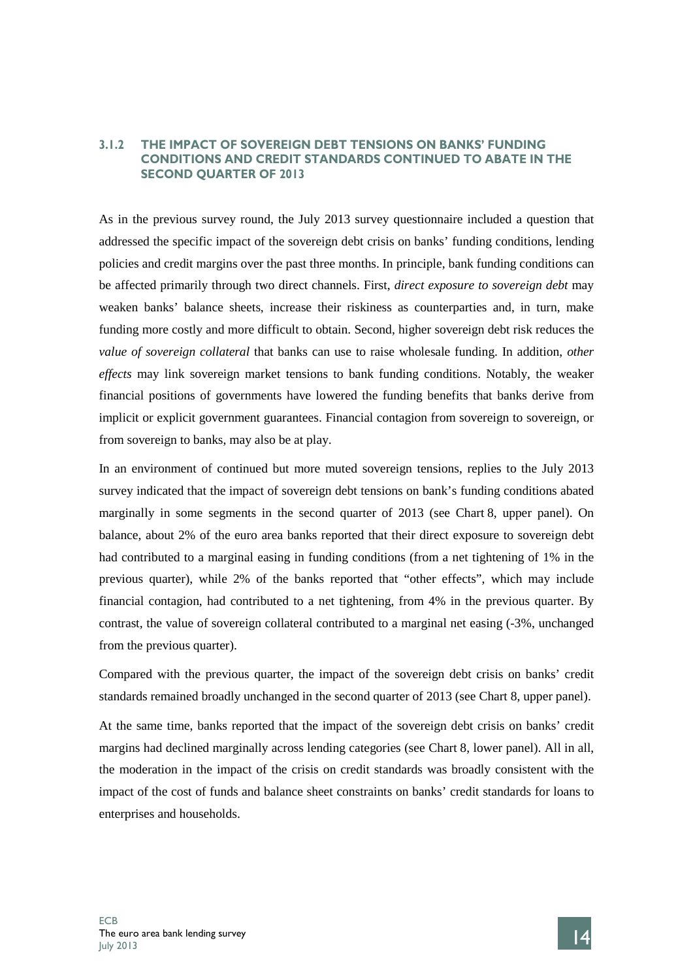## **3.1.2 THE IMPACT OF SOVEREIGN DEBT TENSIONS ON BANKS' FUNDING CONDITIONS AND CREDIT STANDARDS CONTINUED TO ABATE IN THE SECOND QUARTER OF 2013**

As in the previous survey round, the July 2013 survey questionnaire included a question that addressed the specific impact of the sovereign debt crisis on banks' funding conditions, lending policies and credit margins over the past three months. In principle, bank funding conditions can be affected primarily through two direct channels. First, *direct exposure to sovereign debt* may weaken banks' balance sheets, increase their riskiness as counterparties and, in turn, make funding more costly and more difficult to obtain. Second, higher sovereign debt risk reduces the *value of sovereign collateral* that banks can use to raise wholesale funding. In addition, *other effects* may link sovereign market tensions to bank funding conditions. Notably, the weaker financial positions of governments have lowered the funding benefits that banks derive from implicit or explicit government guarantees. Financial contagion from sovereign to sovereign, or from sovereign to banks, may also be at play.

In an environment of continued but more muted sovereign tensions, replies to the July 2013 survey indicated that the impact of sovereign debt tensions on bank's funding conditions abated marginally in some segments in the second quarter of 2013 (see Chart 8, upper panel). On balance, about 2% of the euro area banks reported that their direct exposure to sovereign debt had contributed to a marginal easing in funding conditions (from a net tightening of 1% in the previous quarter), while 2% of the banks reported that "other effects", which may include financial contagion, had contributed to a net tightening, from 4% in the previous quarter. By contrast, the value of sovereign collateral contributed to a marginal net easing (-3%, unchanged from the previous quarter).

Compared with the previous quarter, the impact of the sovereign debt crisis on banks' credit standards remained broadly unchanged in the second quarter of 2013 (see Chart 8, upper panel).

At the same time, banks reported that the impact of the sovereign debt crisis on banks' credit margins had declined marginally across lending categories (see Chart 8, lower panel). All in all, the moderation in the impact of the crisis on credit standards was broadly consistent with the impact of the cost of funds and balance sheet constraints on banks' credit standards for loans to enterprises and households.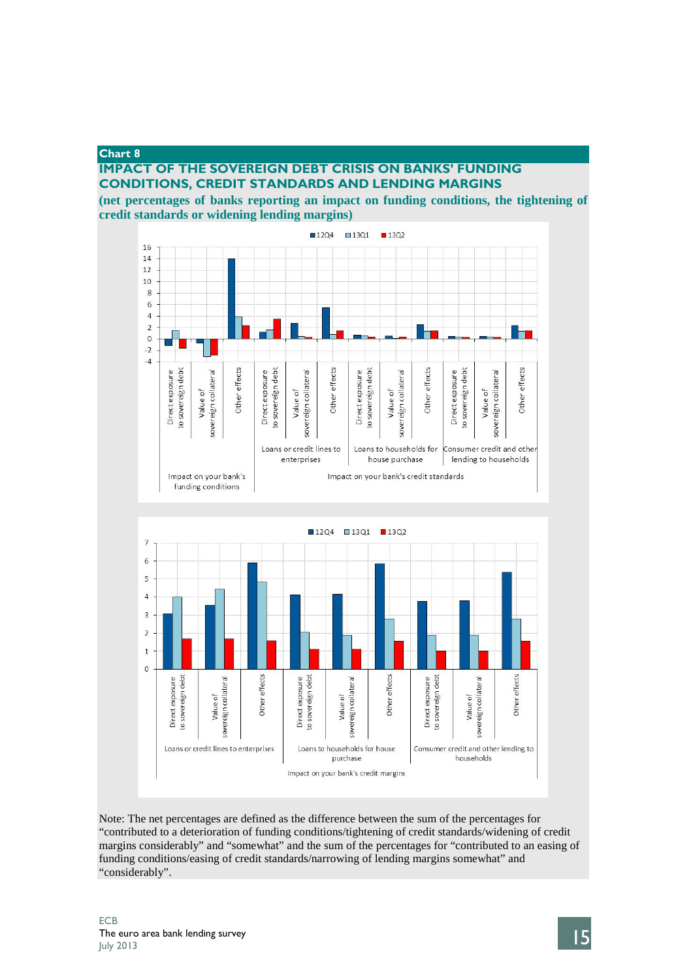### **Chart 8**

## **IMPACT OF THE SOVEREIGN DEBT CRISIS ON BANKS' FUNDING CONDITIONS, CREDIT STANDARDS AND LENDING MARGINS**

**(net percentages of banks reporting an impact on funding conditions, the tightening of credit standards or widening lending margins)**



Note: The net percentages are defined as the difference between the sum of the percentages for "contributed to a deterioration of funding conditions/tightening of credit standards/widening of credit margins considerably" and "somewhat" and the sum of the percentages for "contributed to an easing of funding conditions/easing of credit standards/narrowing of lending margins somewhat" and "considerably".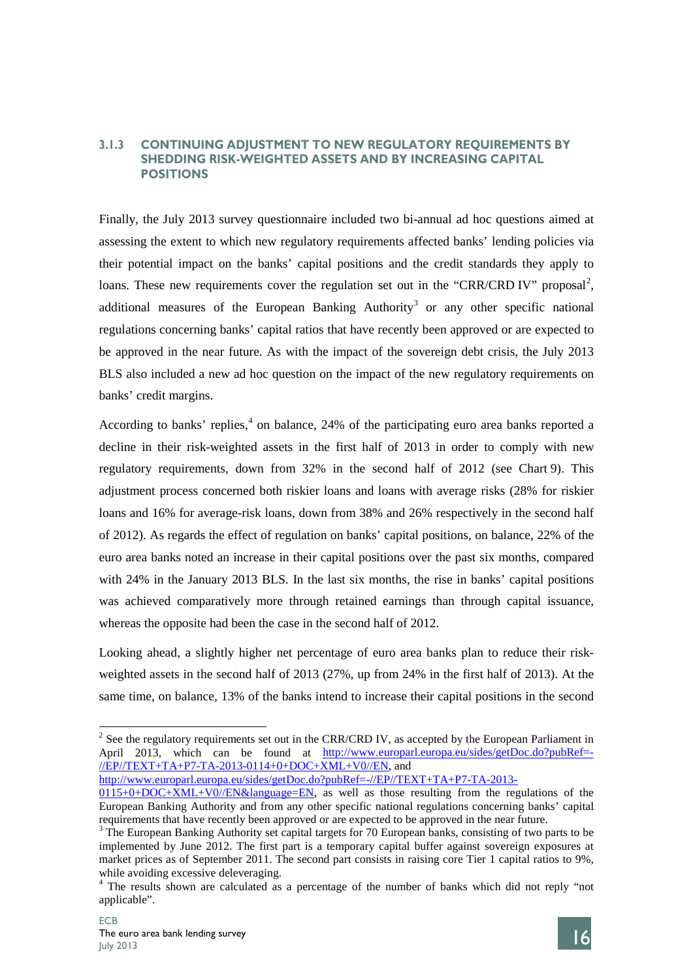## **3.1.3 CONTINUING ADJUSTMENT TO NEW REGULATORY REQUIREMENTS BY SHEDDING RISK-WEIGHTED ASSETS AND BY INCREASING CAPITAL POSITIONS**

Finally, the July 2013 survey questionnaire included two bi-annual ad hoc questions aimed at assessing the extent to which new regulatory requirements affected banks' lending policies via their potential impact on the banks' capital positions and the credit standards they apply to loans. These new requirements cover the regulation set out in the "CRR/CRD IV" proposal<sup>[2](#page-17-0)</sup>, additional measures of the European Banking Authority<sup>[3](#page-17-1)</sup> or any other specific national regulations concerning banks' capital ratios that have recently been approved or are expected to be approved in the near future. As with the impact of the sovereign debt crisis, the July 2013 BLS also included a new ad hoc question on the impact of the new regulatory requirements on banks' credit margins.

According to banks' replies,<sup>[4](#page-17-2)</sup> on balance, 24% of the participating euro area banks reported a decline in their risk-weighted assets in the first half of 2013 in order to comply with new regulatory requirements, down from 32% in the second half of 2012 (see Chart 9). This adjustment process concerned both riskier loans and loans with average risks (28% for riskier loans and 16% for average-risk loans, down from 38% and 26% respectively in the second half of 2012). As regards the effect of regulation on banks' capital positions, on balance, 22% of the euro area banks noted an increase in their capital positions over the past six months, compared with 24% in the January 2013 BLS. In the last six months, the rise in banks' capital positions was achieved comparatively more through retained earnings than through capital issuance, whereas the opposite had been the case in the second half of 2012.

Looking ahead, a slightly higher net percentage of euro area banks plan to reduce their riskweighted assets in the second half of 2013 (27%, up from 24% in the first half of 2013). At the same time, on balance, 13% of the banks intend to increase their capital positions in the second

[http://www.europarl.europa.eu/sides/getDoc.do?pubRef=-//EP//TEXT+TA+P7-TA-2013-](http://www.europarl.europa.eu/sides/getDoc.do?pubRef=-//EP//TEXT+TA+P7-TA-2013-0115+0+DOC+XML+V0//EN&language=EN)



<span id="page-17-0"></span><sup>&</sup>lt;sup>2</sup> See the regulatory requirements set out in the CRR/CRD IV, as accepted by the European Parliament in April 2013, which can be found at [http://www.europarl.europa.eu/sides/getDoc.do?pubRef=-](http://www.europarl.europa.eu/sides/getDoc.do?pubRef=-//EP//TEXT+TA+P7-TA-2013-0114+0+DOC+XML+V0//EN) [//EP//TEXT+TA+P7-TA-2013-0114+0+DOC+XML+V0//EN,](http://www.europarl.europa.eu/sides/getDoc.do?pubRef=-//EP//TEXT+TA+P7-TA-2013-0114+0+DOC+XML+V0//EN) and

 $0115+0+DOC+XML+VO/EN&language=EN,$  as well as those resulting from the regulations of the European Banking Authority and from any other specific national regulations concerning banks' capital requirements that have recently been approved or are expected to be approved in the near future.

<span id="page-17-1"></span> $3$  The European Banking Authority set capital targets for 70 European banks, consisting of two parts to be implemented by June 2012. The first part is a temporary capital buffer against sovereign exposures at market prices as of September 2011. The second part consists in raising core Tier 1 capital ratios to 9%, while avoiding excessive deleveraging.<br><sup>4</sup> The results shown are calculated as a percentage of the number of banks which did not reply "not

<span id="page-17-2"></span>applicable".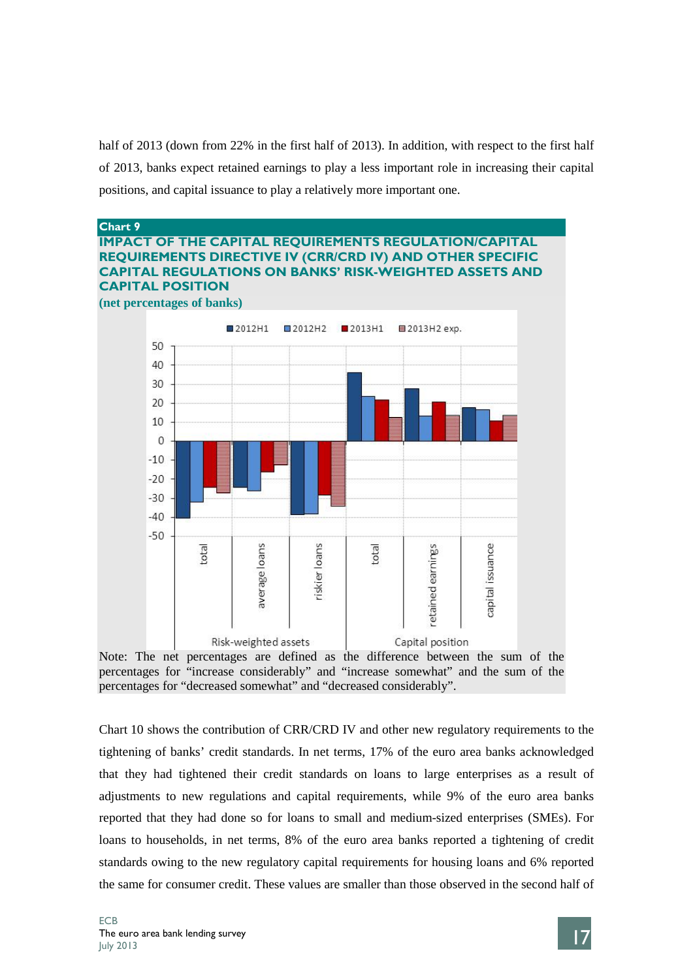half of 2013 (down from 22% in the first half of 2013). In addition, with respect to the first half of 2013, banks expect retained earnings to play a less important role in increasing their capital positions, and capital issuance to play a relatively more important one.





Chart 10 shows the contribution of CRR/CRD IV and other new regulatory requirements to the tightening of banks' credit standards. In net terms, 17% of the euro area banks acknowledged that they had tightened their credit standards on loans to large enterprises as a result of adjustments to new regulations and capital requirements, while 9% of the euro area banks reported that they had done so for loans to small and medium-sized enterprises (SMEs). For loans to households, in net terms, 8% of the euro area banks reported a tightening of credit standards owing to the new regulatory capital requirements for housing loans and 6% reported the same for consumer credit. These values are smaller than those observed in the second half of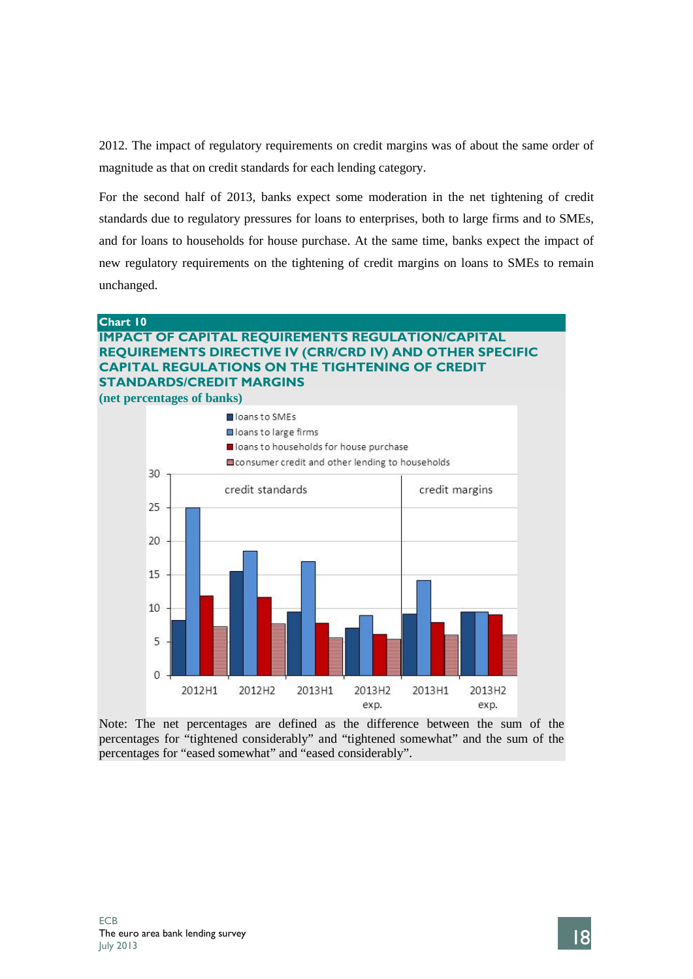2012. The impact of regulatory requirements on credit margins was of about the same order of magnitude as that on credit standards for each lending category.

For the second half of 2013, banks expect some moderation in the net tightening of credit standards due to regulatory pressures for loans to enterprises, both to large firms and to SMEs, and for loans to households for house purchase. At the same time, banks expect the impact of new regulatory requirements on the tightening of credit margins on loans to SMEs to remain unchanged.

### **Chart 10**

# **IMPACT OF CAPITAL REQUIREMENTS REGULATION/CAPITAL REQUIREMENTS DIRECTIVE IV (CRR/CRD IV) AND OTHER SPECIFIC CAPITAL REGULATIONS ON THE TIGHTENING OF CREDIT STANDARDS/CREDIT MARGINS**

**(net percentages of banks)**



Note: The net percentages are defined as the difference between the sum of the percentages for "tightened considerably" and "tightened somewhat" and the sum of the percentages for "eased somewhat" and "eased considerably".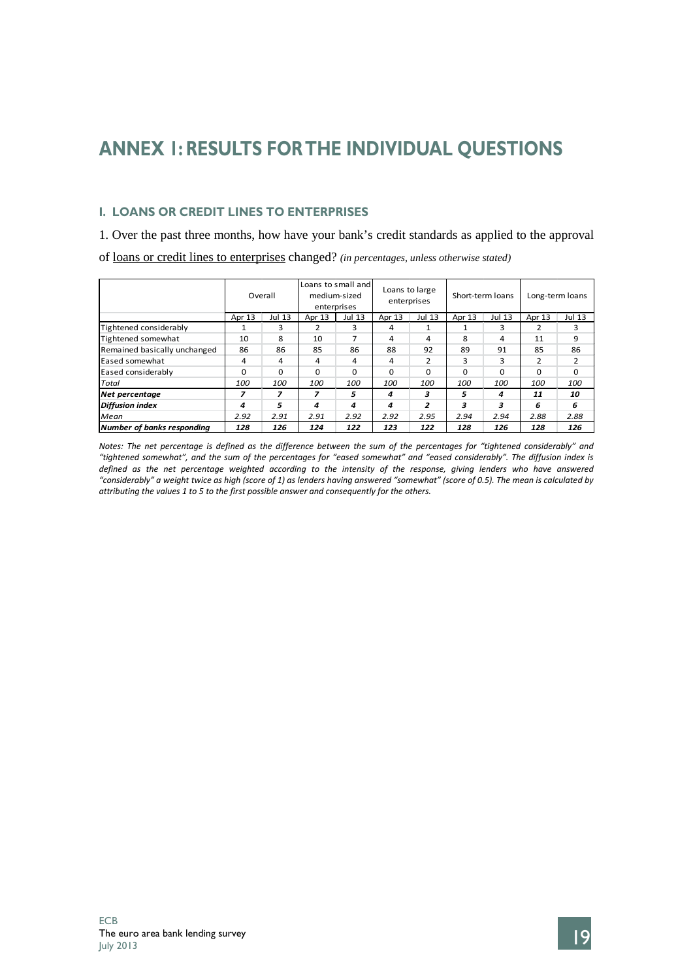# **ANNEX 1: RESULTS FORTHE INDIVIDUAL QUESTIONS**

# **I. LOANS OR CREDIT LINES TO ENTERPRISES**

1. Over the past three months, how have your bank's credit standards as applied to the approval of loans or credit lines to enterprises changed? *(in percentages, unless otherwise stated)*

|                              |            | Overall  |                         | Loans to small and<br>medium-sized<br>enterprises |        | Loans to large<br>enterprises |          | Short-term loans | Long-term loans |          |  |
|------------------------------|------------|----------|-------------------------|---------------------------------------------------|--------|-------------------------------|----------|------------------|-----------------|----------|--|
|                              | Apr 13     | Jul 13   | Apr 13<br><b>Jul 13</b> |                                                   | Apr 13 | Jul 13                        | Apr 13   | Jul 13           | Apr 13          | Jul 13   |  |
| Tightened considerably       |            | 3        | ำ                       | 3                                                 | 4      | 1                             |          | 3                | 2               | 3        |  |
| Tightened somewhat           | 10         | 8        | 10                      | 7                                                 | 4      | 4                             | 8        | 4                | 11              | 9        |  |
| Remained basically unchanged | 86         | 86       | 85                      | 86                                                | 88     | 92                            | 89       | 91               | 85              | 86       |  |
| Eased somewhat               | 4          | 4        | 4                       | 4                                                 | 4      | 2                             | з        | з                | $\mathcal{P}$   | 2        |  |
| Eased considerably           | $\Omega$   | $\Omega$ | $\Omega$                | $\Omega$                                          | 0      | $\Omega$                      | $\Omega$ | $\Omega$         | $\Omega$        | $\Omega$ |  |
| Total                        | <i>100</i> | 100      | <i>100</i>              | 100                                               | 100    | <i>100</i>                    | 100      | 100              | 100             | 100      |  |
| Net percentage               | 7          | 7        | 7                       | 5                                                 | 4      | 3                             | 5        | 4                | 11              | 10       |  |
| <b>Diffusion index</b>       | 4          | 5        | 4                       | 4                                                 | 4      | 2                             | з        | 3                | 6               | 6        |  |
| Mean                         | 2.92       | 2.91     | 2.92<br>2.91            |                                                   | 2.92   | 2.95                          | 2.94     | 2.94             | 2.88            | 2.88     |  |
| Number of banks responding   | 128        | 126      | 124                     | 122                                               | 123    | 122                           | 128      | 126              | 128             | 126      |  |

*Notes: The net percentage is defined as the difference between the sum of the percentages for "tightened considerably" and "tightened somewhat", and the sum of the percentages for "eased somewhat" and "eased considerably". The diffusion index is*  defined as the net percentage weighted according to the intensity of the response, giving lenders who have answered *"considerably" a weight twice as high (score of 1) as lenders having answered "somewhat" (score of 0.5). The mean is calculated by attributing the values 1 to 5 to the first possible answer and consequently for the others.*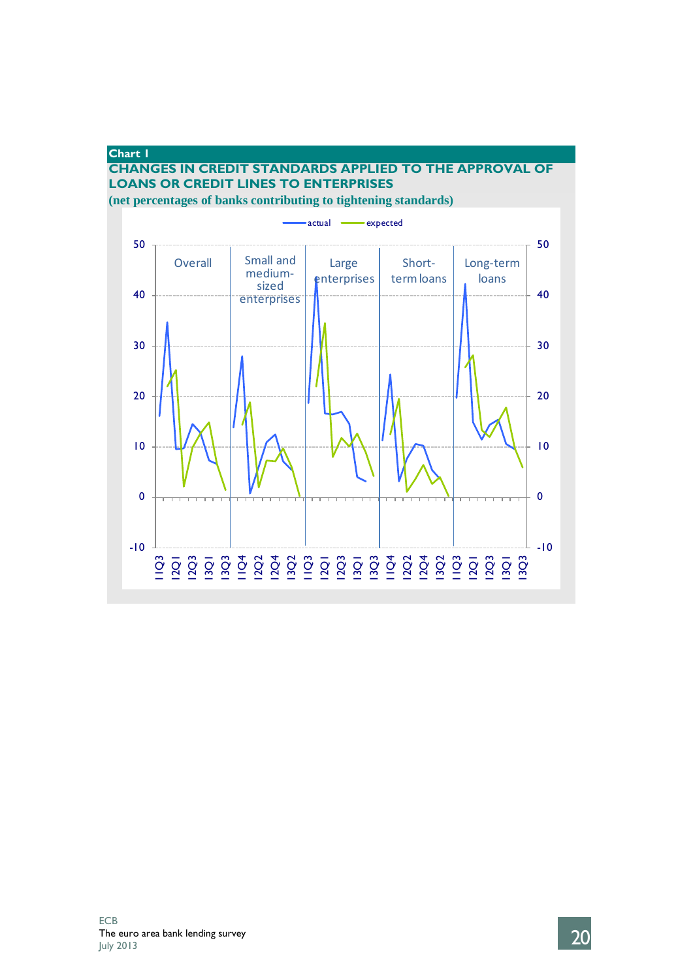# **Chart 1 CHANGES IN CREDIT STANDARDS APPLIED TO THE APPROVAL OF LOANS OR CREDIT LINES TO ENTERPRISES (net percentages of banks contributing to tightening standards)**



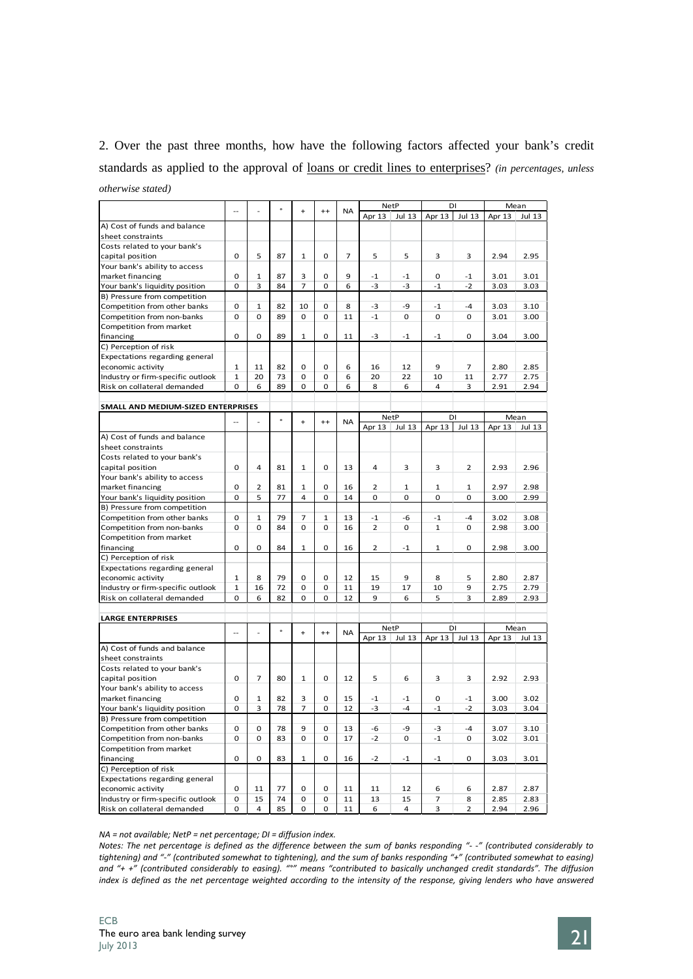# 2. Over the past three months, how have the following factors affected your bank's credit standards as applied to the approval of loans or credit lines to enterprises? *(in percentages, unless otherwise stated)*

|                                    |              |                | $\circ$ |              |         |           |        | <b>NetP</b> |              | DI             |        | Mean   |
|------------------------------------|--------------|----------------|---------|--------------|---------|-----------|--------|-------------|--------------|----------------|--------|--------|
|                                    |              |                |         | $\ddot{}$    | $^{++}$ | <b>NA</b> | Apr 13 | Jul 13      | Apr 13       | <b>Jul 13</b>  | Apr 13 | Jul 13 |
| A) Cost of funds and balance       |              |                |         |              |         |           |        |             |              |                |        |        |
| sheet constraints                  |              |                |         |              |         |           |        |             |              |                |        |        |
| Costs related to your bank's       |              |                |         |              |         |           |        |             |              |                |        |        |
| capital position                   | 0            | 5              | 87      | $\mathbf{1}$ | 0       | 7         | 5      | 5           | 3            | 3              | 2.94   | 2.95   |
| Your bank's ability to access      |              |                |         |              |         |           |        |             |              |                |        |        |
| market financing                   | 0            | 1              | 87      | 3            | 0       | 9         | $-1$   | $-1$        | 0            | $-1$           | 3.01   | 3.01   |
| Your bank's liquidity position     | 0            | 3              | 84      | 7            | 0       | 6         | $-3$   | -3          | $-1$         | $-2$           | 3.03   | 3.03   |
| B) Pressure from competition       |              |                |         |              |         |           |        |             |              |                |        |        |
| Competition from other banks       | 0            | 1              | 82      | 10           | 0       | 8         | $-3$   | -9          | $-1$         | $-4$           | 3.03   | 3.10   |
| Competition from non-banks         | $\mathbf 0$  | 0              | 89      | 0            | 0       | 11        | $-1$   | 0           | 0            | 0              | 3.01   | 3.00   |
| Competition from market            |              |                |         |              |         |           |        |             |              |                |        |        |
|                                    |              | 0              | 89      |              | 0       |           |        |             |              | 0              |        |        |
| financing                          | 0            |                |         | 1            |         | 11        | $-3$   | $-1$        | $-1$         |                | 3.04   | 3.00   |
| C) Perception of risk              |              |                |         |              |         |           |        |             |              |                |        |        |
| Expectations regarding general     |              |                |         |              |         |           |        |             |              |                |        |        |
| economic activity                  | $\mathbf{1}$ | 11             | 82      | 0            | 0       | 6         | 16     | 12          | 9            | 7              | 2.80   | 2.85   |
| Industry or firm-specific outlook  | 1            | 20             | 73      | 0            | 0       | 6         | 20     | 22          | 10           | 11             | 2.77   | 2.75   |
| Risk on collateral demanded        | 0            | 6              | 89      | 0            | 0       | 6         | 8      | 6           | 4            | 3              | 2.91   | 2.94   |
|                                    |              |                |         |              |         |           |        |             |              |                |        |        |
| SMALL AND MEDIUM-SIZED ENTERPRISES |              |                |         |              |         |           |        |             |              |                |        |        |
|                                    |              |                | $\circ$ | $\ddot{}$    | $^{++}$ | NA        |        | <b>NetP</b> |              | DI             |        | Mean   |
|                                    |              |                |         |              |         |           | Apr 13 | Jul 13      | Apr 13       | Jul 13         | Apr 13 | Jul 13 |
| A) Cost of funds and balance       |              |                |         |              |         |           |        |             |              |                |        |        |
| sheet constraints                  |              |                |         |              |         |           |        |             |              |                |        |        |
| Costs related to your bank's       |              |                |         |              |         |           |        |             |              |                |        |        |
| capital position                   | 0            | $\overline{4}$ | 81      | 1            | 0       | 13        | 4      | 3           | 3            | $\overline{2}$ | 2.93   | 2.96   |
| Your bank's ability to access      |              |                |         |              |         |           |        |             |              |                |        |        |
| market financing                   | 0            | $\overline{2}$ | 81      | 1            | 0       | 16        | 2      | 1           | 1            | 1              | 2.97   | 2.98   |
| Your bank's liquidity position     | 0            | 5              | 77      | 4            | 0       | 14        | 0      | $\mathbf 0$ | 0            | $\mathbf 0$    | 3.00   | 2.99   |
| B) Pressure from competition       |              |                |         |              |         |           |        |             |              |                |        |        |
| Competition from other banks       | 0            | $\mathbf{1}$   | 79      | 7            | 1       | 13        | $-1$   | -6          | $-1$         | $-4$           | 3.02   | 3.08   |
| Competition from non-banks         | 0            | $\mathbf 0$    | 84      | 0            | 0       | 16        | 2      | $\mathbf 0$ | $\mathbf{1}$ | 0              | 2.98   | 3.00   |
| Competition from market            |              |                |         |              |         |           |        |             |              |                |        |        |
| financing                          | 0            | $\mathbf 0$    | 84      | 1            | 0       | 16        | 2      | $-1$        | 1            | 0              | 2.98   | 3.00   |
| C) Perception of risk              |              |                |         |              |         |           |        |             |              |                |        |        |
|                                    |              |                |         |              |         |           |        |             |              |                |        |        |
| Expectations regarding general     |              | 8              | 79      | 0            | 0       | 12        |        | 9           | 8            |                |        | 2.87   |
| economic activity                  | 1            | 16             |         |              |         |           | 15     |             |              | 5              | 2.80   |        |
| Industry or firm-specific outlook  | $\mathbf{1}$ |                | 72      | 0            | 0       | 11        | 19     | 17          | 10           | 9              | 2.75   | 2.79   |
| Risk on collateral demanded        | 0            | 6              | 82      | 0            | 0       | 12        | 9      | 6           | 5            | 3              | 2.89   | 2.93   |
|                                    |              |                |         |              |         |           |        |             |              |                |        |        |
| <b>LARGE ENTERPRISES</b>           |              |                |         |              |         |           |        |             |              |                |        |        |
|                                    | --           |                | $\circ$ | $\ddot{}$    | $^{++}$ | NA        |        | <b>NetP</b> |              | DI             |        | Mean   |
|                                    |              |                |         |              |         |           | Apr 13 | Jul 13      | Apr 13       | <b>Jul 13</b>  | Apr 13 | Jul 13 |
| A) Cost of funds and balance       |              |                |         |              |         |           |        |             |              |                |        |        |
| sheet constraints                  |              |                |         |              |         |           |        |             |              |                |        |        |
| Costs related to your bank's       |              |                |         |              |         |           |        |             |              |                |        |        |
| capital position                   | 0            | 7              | 80      | $\mathbf{1}$ | 0       | 12        | 5      | 6           | 3            | 3              | 2.92   | 2.93   |
| Your bank's ability to access      |              |                |         |              |         |           |        |             |              |                |        |        |
| market financing                   | 0            | 1              | 82      | 3            | 0       | 15        | $-1$   | $-1$        | 0            | $-1$           | 3.00   | 3.02   |
| Your bank's liquidity position     | 0            | 3              | 78      | 7            | 0       | 12        | $-3$   | -4          | $-1$         | $-2$           | 3.03   | 3.04   |
| B) Pressure from competition       |              |                |         |              |         |           |        |             |              |                |        |        |
| Competition from other banks       | 0            | 0              | 78      | 9            | 0       | 13        | -6     | -9          | $-3$         | -4             | 3.07   | 3.10   |
| Competition from non-banks         | 0            | 0              | 83      | 0            | 0       | 17        | $-2$   | 0           | $-1$         | 0              | 3.02   | 3.01   |
| Competition from market            |              |                |         |              |         |           |        |             |              |                |        |        |
| financing                          | 0            | 0              | 83      | $\mathbf{1}$ | 0       | 16        | $-2$   | $-1$        | $-1$         | 0              | 3.03   | 3.01   |
| C) Perception of risk              |              |                |         |              |         |           |        |             |              |                |        |        |
| Expectations regarding general     |              |                |         |              |         |           |        |             |              |                |        |        |
| economic activity                  | 0            | 11             | 77      | 0            | 0       | 11        | 11     | 12          | 6            | 6              | 2.87   | 2.87   |
| Industry or firm-specific outlook  | 0            | 15             | 74      | 0            | 0       | 11        | 13     | 15          | 7            | 8              | 2.85   | 2.83   |
| Risk on collateral demanded        | 0            | 4              | 85      | 0            | 0       | 11        | 6      | 4           | 3            | $\overline{2}$ | 2.94   | 2.96   |
|                                    |              |                |         |              |         |           |        |             |              |                |        |        |

*NA = not available; NetP = net percentage; DI = diffusion index.*

*Notes: The net percentage is defined as the difference between the sum of banks responding "- -" (contributed considerably to tightening) and "-" (contributed somewhat to tightening), and the sum of banks responding "+" (contributed somewhat to easing) and "+ +" (contributed considerably to easing). "°" means "contributed to basically unchanged credit standards". The diffusion index is defined as the net percentage weighted according to the intensity of the response, giving lenders who have answered*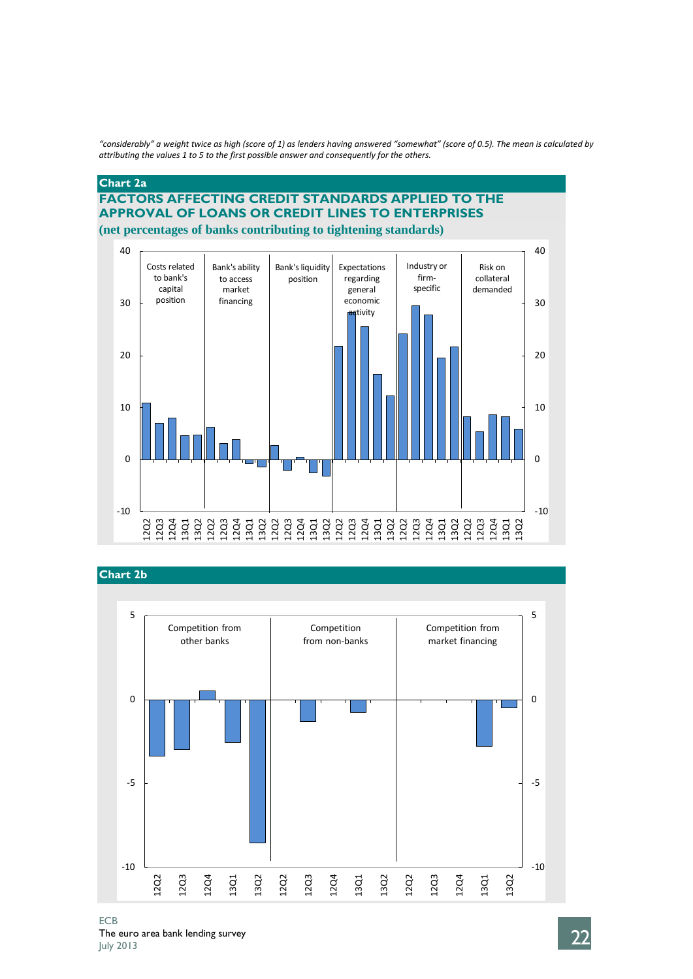*"considerably" a weight twice as high (score of 1) as lenders having answered "somewhat" (score of 0.5). The mean is calculated by attributing the values 1 to 5 to the first possible answer and consequently for the others.*

### **Chart 2a**

### **FACTORS AFFECTING CREDIT STANDARDS APPLIED TO THE APPROVAL OF LOANS OR CREDIT LINES TO ENTERPRISES (net percentages of banks contributing to tightening standards)**





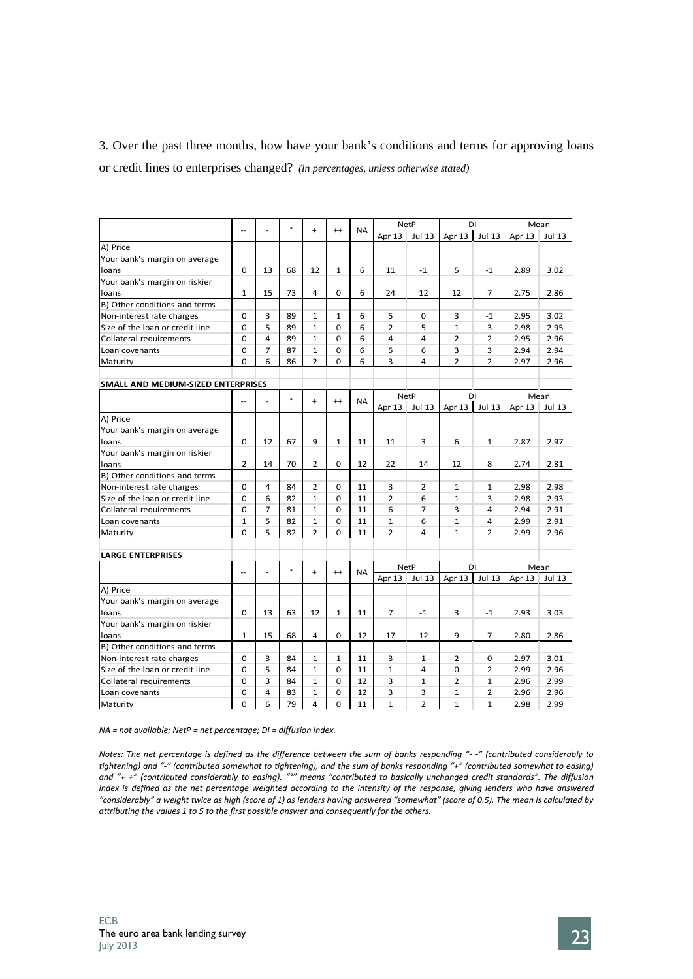3. Over the past three months, how have your bank's conditions and terms for approving loans or credit lines to enterprises changed? *(in percentages, unless otherwise stated)*

|                                    |                          |                |           |                |              |           |                | <b>NetP</b>    | DI             |                | Mean   |               |
|------------------------------------|--------------------------|----------------|-----------|----------------|--------------|-----------|----------------|----------------|----------------|----------------|--------|---------------|
|                                    | $-$                      |                | $\bullet$ | $+$            | $^{++}$      | <b>NA</b> | Apr 13         | Jul 13         | Apr 13         | <b>Jul 13</b>  | Apr 13 | <b>Jul 13</b> |
| A) Price                           |                          |                |           |                |              |           |                |                |                |                |        |               |
| Your bank's margin on average      |                          |                |           |                |              |           |                |                |                |                |        |               |
| loans                              | 0                        | 13             | 68        | 12             | $\mathbf{1}$ | 6         | 11             | $-1$           | 5              | $-1$           | 2.89   | 3.02          |
| Your bank's margin on riskier      |                          |                |           |                |              |           |                |                |                |                |        |               |
| loans                              | $\mathbf{1}$             | 15             | 73        | 4              | $\mathbf 0$  | 6         | 24             | 12             | 12             | $\overline{7}$ | 2.75   | 2.86          |
| B) Other conditions and terms      |                          |                |           |                |              |           |                |                |                |                |        |               |
| Non-interest rate charges          | $\Omega$                 | 3              | 89        | $\mathbf{1}$   | $\mathbf{1}$ | 6         | 5              | 0              | 3              | $-1$           | 2.95   | 3.02          |
| Size of the loan or credit line    | $\Omega$                 | 5              | 89        | $\mathbf{1}$   | 0            | 6         | $\overline{2}$ | 5              | $\mathbf{1}$   | 3              | 2.98   | 2.95          |
| Collateral requirements            | $\Omega$                 | 4              | 89        | $\mathbf{1}$   | $\Omega$     | 6         | 4              | 4              | $\overline{2}$ | $\overline{2}$ | 2.95   | 2.96          |
| Loan covenants                     | 0                        | $\overline{7}$ | 87        | $\mathbf{1}$   | $\mathbf 0$  | 6         | 5              | 6              | 3              | 3              | 2.94   | 2.94          |
| Maturity                           | $\Omega$                 | 6              | 86        | $\overline{2}$ | $\mathbf 0$  | 6         | 3              | 4              | $\overline{2}$ | $\overline{2}$ | 2.97   | 2.96          |
|                                    |                          |                |           |                |              |           |                |                |                |                |        |               |
| SMALL AND MEDIUM-SIZED ENTERPRISES |                          |                |           |                |              |           |                |                |                |                |        |               |
|                                    |                          |                | $\bullet$ |                |              | <b>NA</b> |                | <b>NetP</b>    | DI             |                | Mean   |               |
|                                    | $\overline{\phantom{a}}$ |                |           | $\ddot{}$      | $^{++}$      |           | Apr 13         | <b>Jul 13</b>  | Apr 13         | <b>Jul 13</b>  | Apr 13 | <b>Jul 13</b> |
| A) Price                           |                          |                |           |                |              |           |                |                |                |                |        |               |
| Your bank's margin on average      |                          |                |           |                |              |           |                |                |                |                |        |               |
| loans                              | 0                        | 12             | 67        | 9              | $\mathbf{1}$ | 11        | 11             | 3              | 6              | $\mathbf{1}$   | 2.87   | 2.97          |
| Your bank's margin on riskier      |                          |                |           |                |              |           |                |                |                |                |        |               |
| loans                              | 2                        | 14             | 70        | $\overline{2}$ | 0            | 12        | 22             | 14             | 12             | 8              | 2.74   | 2.81          |
| B) Other conditions and terms      |                          |                |           |                |              |           |                |                |                |                |        |               |
| Non-interest rate charges          | 0                        | 4              | 84        | $\overline{2}$ | 0            | 11        | 3              | 2              | $\mathbf{1}$   | $\mathbf{1}$   | 2.98   | 2.98          |
| Size of the loan or credit line    | $\Omega$                 | 6              | 82        | $\mathbf{1}$   | $\mathbf 0$  | 11        | $\overline{2}$ | 6              | $\mathbf{1}$   | 3              | 2.98   | 2.93          |
| Collateral requirements            | 0                        | $\overline{7}$ | 81        | $\mathbf{1}$   | $\mathbf 0$  | 11        | 6              | $\overline{7}$ | 3              | 4              | 2.94   | 2.91          |
| Loan covenants                     | $\mathbf{1}$             | 5              | 82        | $\mathbf{1}$   | $\Omega$     | 11        | 1              | 6              | $\mathbf{1}$   | 4              | 2.99   | 2.91          |
| Maturity                           | $\Omega$                 | 5              | 82        | $\overline{2}$ | $\Omega$     | 11        | $\overline{2}$ | 4              | $\mathbf{1}$   | $\overline{2}$ | 2.99   | 2.96          |
|                                    |                          |                |           |                |              |           |                |                |                |                |        |               |
| <b>LARGE ENTERPRISES</b>           |                          |                |           |                |              |           |                |                |                |                |        |               |
|                                    | $\overline{a}$           |                | $\circ$   | $\ddot{}$      | $^{++}$      | <b>NA</b> |                | <b>NetP</b>    | DI             |                |        | Mean          |
|                                    |                          |                |           |                |              |           | Apr 13         | Jul 13         | Apr 13         | <b>Jul 13</b>  | Apr 13 | Jul 13        |
| A) Price                           |                          |                |           |                |              |           |                |                |                |                |        |               |
| Your bank's margin on average      |                          |                |           |                |              |           |                |                |                |                |        |               |
| loans                              | $\Omega$                 | 13             | 63        | 12             | $\mathbf{1}$ | 11        | 7              | $-1$           | 3              | $-1$           | 2.93   | 3.03          |
| Your bank's margin on riskier      |                          |                |           |                |              |           |                |                |                |                |        |               |
| loans                              | $\mathbf{1}$             | 15             | 68        | 4              | $\mathbf 0$  | 12        | 17             | 12             | 9              | $\overline{7}$ | 2.80   | 2.86          |
| B) Other conditions and terms      |                          |                |           |                |              |           |                |                |                |                |        |               |
| Non-interest rate charges          | $\Omega$                 | 3              | 84        | 1              | $\mathbf{1}$ | 11        | 3              | 1              | 2              | 0              | 2.97   | 3.01          |
| Size of the loan or credit line    | $\Omega$                 | 5              | 84        | $\mathbf{1}$   | $\mathbf 0$  | 11        | $\mathbf{1}$   | 4              | 0              | $\overline{2}$ | 2.99   | 2.96          |
| Collateral requirements            | $\Omega$                 | 3              | 84        | $\mathbf{1}$   | $\mathbf 0$  | 12        | 3              | $\mathbf{1}$   | $\overline{2}$ | $\mathbf{1}$   | 2.96   | 2.99          |
| Loan covenants                     | 0                        | 4              | 83        | $\mathbf{1}$   | $\Omega$     | 12        | 3              | 3              | $\mathbf{1}$   | $\overline{2}$ | 2.96   | 2.96          |
| Maturity                           | $\Omega$                 | 6              | 79        | 4              | $\Omega$     | 11        | $\mathbf{1}$   | $\overline{2}$ | $\mathbf{1}$   | $\mathbf{1}$   | 2.98   | 2.99          |

*NA = not available; NetP = net percentage; DI = diffusion index.*

*Notes: The net percentage is defined as the difference between the sum of banks responding "- -" (contributed considerably to tightening) and "-" (contributed somewhat to tightening), and the sum of banks responding "+" (contributed somewhat to easing) and "+ +" (contributed considerably to easing). "°" means "contributed to basically unchanged credit standards". The diffusion*  index is defined as the net percentage weighted according to the intensity of the response, giving lenders who have answered *"considerably" a weight twice as high (score of 1) as lenders having answered "somewhat" (score of 0.5). The mean is calculated by attributing the values 1 to 5 to the first possible answer and consequently for the others.*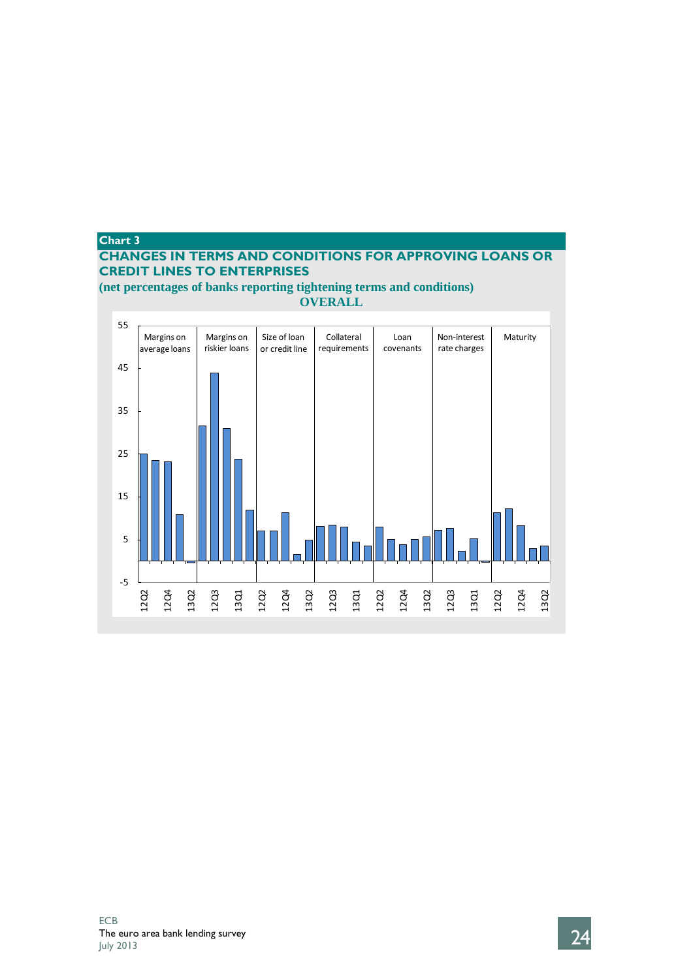# **Chart 3**

# **CHANGES IN TERMS AND CONDITIONS FOR APPROVING LOANS OR CREDIT LINES TO ENTERPRISES**

**(net percentages of banks reporting tightening terms and conditions) OVERALL**

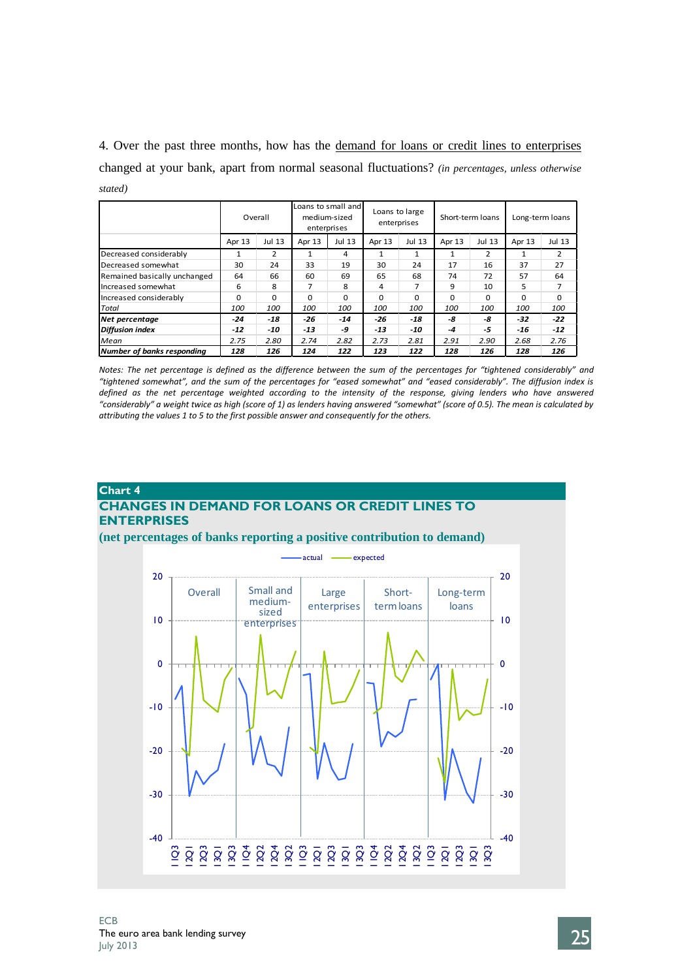4. Over the past three months, how has the demand for loans or credit lines to enterprises changed at your bank, apart from normal seasonal fluctuations? *(in percentages, unless otherwise stated)*

|                              |            | Overall  |        | Loans to small and<br>medium-sized<br>enterprises | Loans to large | enterprises | Short-term loans |          | Long-term loans |          |  |
|------------------------------|------------|----------|--------|---------------------------------------------------|----------------|-------------|------------------|----------|-----------------|----------|--|
|                              | Apr 13     | Jul 13   | Apr 13 | Jul 13                                            |                | Jul 13      | Apr 13           | Jul 13   | Apr 13          | Jul 13   |  |
| Decreased considerably       | 1          | 2        |        | 4                                                 |                | 1           |                  | 2        | 1               | 2        |  |
| Decreased somewhat           | 30         | 24       | 33     | 19                                                | 30             | 24          | 17               | 16       | 37              | 27       |  |
| Remained basically unchanged | 64         | 66       | 60     | 69                                                | 65             | 68          | 74               | 72       | 57              | 64       |  |
| Increased somewhat           | 6          | 8        | 7      | 8                                                 | 4              | 7           | 9                | 10       | 5               |          |  |
| Increased considerably       | $\Omega$   | $\Omega$ | U      | $\Omega$                                          | 0              | $\Omega$    | <sup>0</sup>     | $\Omega$ | $\Omega$        | $\Omega$ |  |
| <b>Total</b>                 | <i>100</i> | 100      | 100    | 100                                               | 100            | 100         | 100              | 100      | 100             | 100      |  |
| Net percentage               | $-24$      | $-18$    | -26    | $-14$                                             | -26            | $-18$       | -8               | -8       | -32             | $-22$    |  |
| Diffusion index              | $-12$      | -10      | $-13$  | -9                                                | $-13$          | -10         | -4               | -5       | -16             | $-12$    |  |
| Mean                         | 2.75       | 2.80     | 2.74   | 2.82                                              | 2.73           | 2.81        | 2.91             | 2.90     | 2.68            | 2.76     |  |
| Number of banks responding   | 128        | 126      | 124    | 122                                               | 123            | 122         | 128              | 126      | 128             | 126      |  |

*Notes: The net percentage is defined as the difference between the sum of the percentages for "tightened considerably" and "tightened somewhat", and the sum of the percentages for "eased somewhat" and "eased considerably". The diffusion index is*  defined as the net percentage weighted according to the intensity of the response, giving lenders who have answered *"considerably" a weight twice as high (score of 1) as lenders having answered "somewhat" (score of 0.5). The mean is calculated by attributing the values 1 to 5 to the first possible answer and consequently for the others.*

## **Chart 4 CHANGES IN DEMAND FOR LOANS OR CREDIT LINES TO ENTERPRISES**

**(net percentages of banks reporting a positive contribution to demand)**

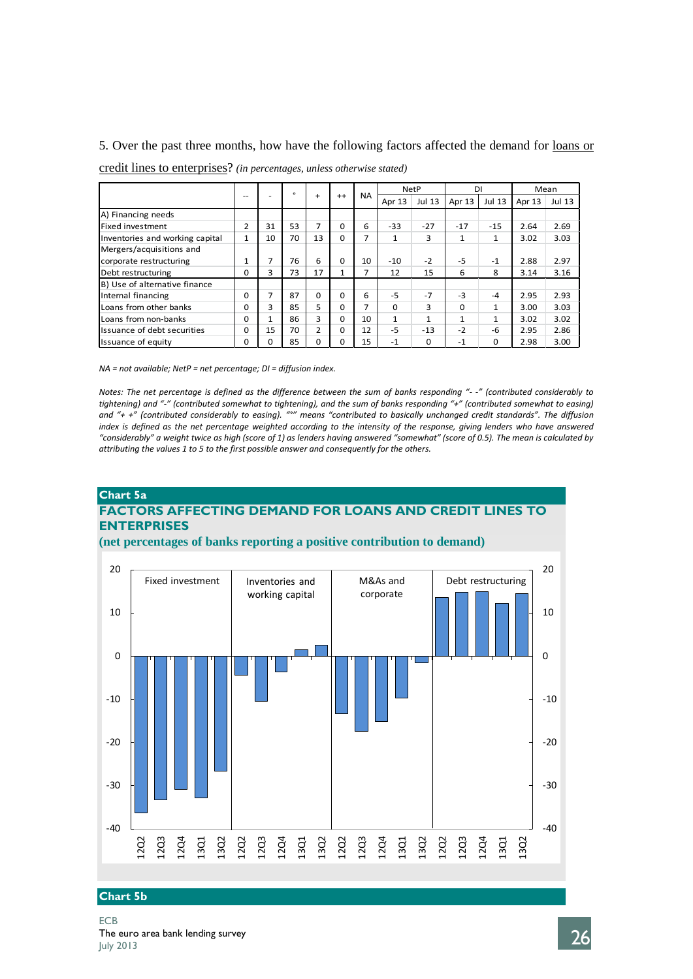### 5. Over the past three months, how have the following factors affected the demand for loans or

| credit lines to enterprises? (in percentages, unless otherwise stated) |
|------------------------------------------------------------------------|
|                                                                        |

|                                 |              | $- -$<br>-   | $\circ$ |                |              |           |              | <b>NetP</b>  | DI           |               |        | Mean          |
|---------------------------------|--------------|--------------|---------|----------------|--------------|-----------|--------------|--------------|--------------|---------------|--------|---------------|
|                                 |              |              |         | $\ddot{}$      | $^{++}$      | <b>NA</b> | Apr 13       | Jul 13       | Apr 13       | <b>Jul 13</b> | Apr 13 | <b>Jul 13</b> |
| A) Financing needs              |              |              |         |                |              |           |              |              |              |               |        |               |
| Fixed investment                | 2            | 31           | 53      | 7              | 0            | 6         | $-33$        | $-27$        | $-17$        | $-15$         | 2.64   | 2.69          |
| Inventories and working capital | $\mathbf{1}$ | 10           | 70      | 13             | 0            | 7         | 1            | 3            | 1            | $\mathbf{1}$  | 3.02   | 3.03          |
| Mergers/acquisitions and        |              |              |         |                |              |           |              |              |              |               |        |               |
| corporate restructuring         | 1            |              | 76      | 6              | 0            | 10        | $-10$        | $-2$         | $-5$         | $-1$          | 2.88   | 2.97          |
| Debt restructuring              | O            | 3            | 73      | 17             | $\mathbf{1}$ | 7         | 12           | 15           | 6            | 8             | 3.14   | 3.16          |
| B) Use of alternative finance   |              |              |         |                |              |           |              |              |              |               |        |               |
| Internal financing              | 0            | 7            | 87      | $\Omega$       | 0            | 6         | $-5$         | $-7$         | $-3$         | $-4$          | 2.95   | 2.93          |
| Loans from other banks          | 0            | 3            | 85      | 5              | 0            | 7         | $\Omega$     | 3            | $\Omega$     | $\mathbf{1}$  | 3.00   | 3.03          |
| Loans from non-banks            | 0            | $\mathbf{1}$ | 86      | 3              | 0            | 10        | $\mathbf{1}$ | $\mathbf{1}$ | $\mathbf{1}$ | $\mathbf{1}$  | 3.02   | 3.02          |
| Issuance of debt securities     | U            | 15           | 70      | $\overline{2}$ | $\Omega$     | 12        | $-5$         | $-13$        | $-2$         | -6            | 2.95   | 2.86          |
| Issuance of equity              | 0            | 0            | 85      | $\Omega$       | 0            | 15        | $-1$         | $\Omega$     | $-1$         | 0             | 2.98   | 3.00          |

*NA = not available; NetP = net percentage; DI = diffusion index.*

*Notes: The net percentage is defined as the difference between the sum of banks responding "- -" (contributed considerably to tightening) and "-" (contributed somewhat to tightening), and the sum of banks responding "+" (contributed somewhat to easing) and "+ +" (contributed considerably to easing). "°" means "contributed to basically unchanged credit standards". The diffusion index is defined as the net percentage weighted according to the intensity of the response, giving lenders who have answered "considerably" a weight twice as high (score of 1) as lenders having answered "somewhat" (score of 0.5). The mean is calculated by attributing the values 1 to 5 to the first possible answer and consequently for the others.*

### **Chart 5a FACTORS AFFECTING DEMAND FOR LOANS AND CREDIT LINES TO ENTERPRISES**

### **(net percentages of banks reporting a positive contribution to demand)**



## **Chart 5b**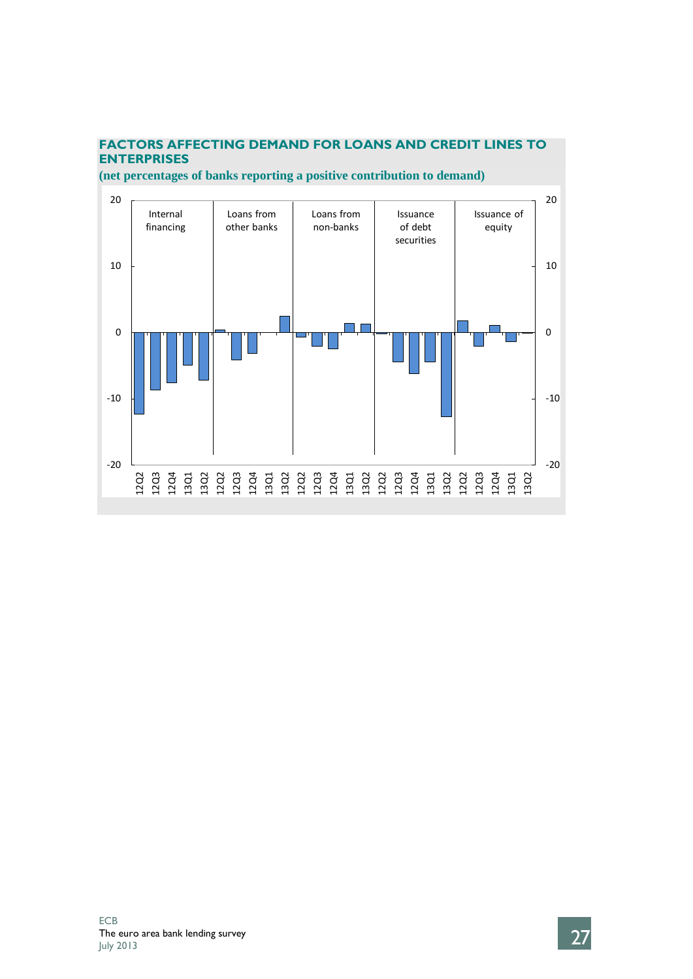

# **FACTORS AFFECTING DEMAND FOR LOANS AND CREDIT LINES TO**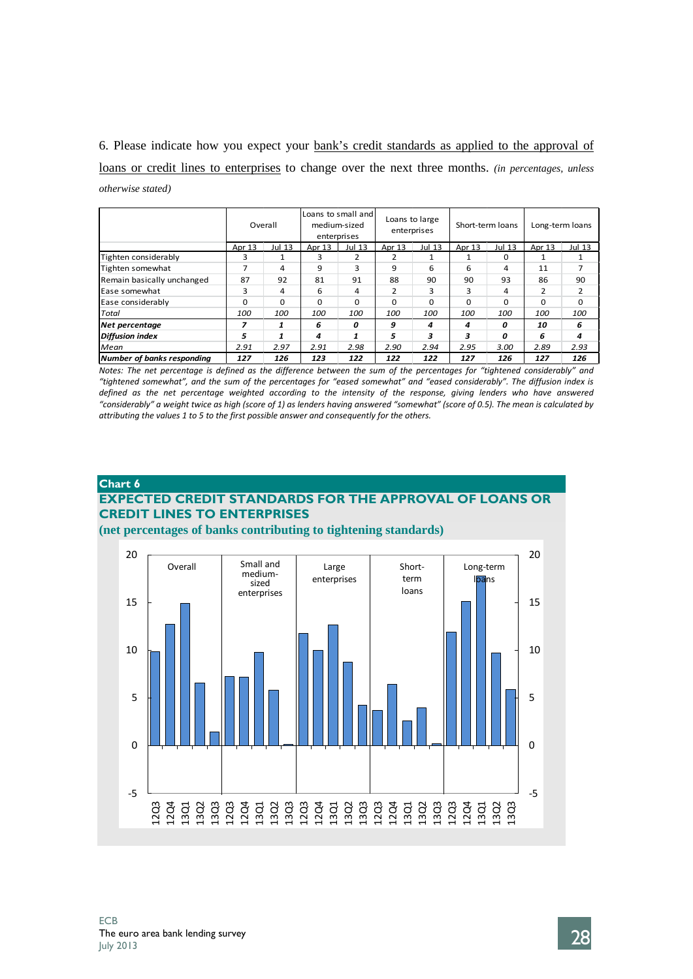6. Please indicate how you expect your bank's credit standards as applied to the approval of loans or credit lines to enterprises to change over the next three months. *(in percentages, unless otherwise stated)*

|                            |          | Overall       |                  | Loans to small and<br>medium-sized<br>enterprises |          | Loans to large<br>enterprises |          | Short-term loans | Long-term loans |          |  |
|----------------------------|----------|---------------|------------------|---------------------------------------------------|----------|-------------------------------|----------|------------------|-----------------|----------|--|
|                            | Apr 13   | <b>Jul 13</b> | Apr 13<br>Jul 13 |                                                   | Apr 13   | Jul 13                        | Apr 13   | Jul 13           | Apr 13          | Jul 13   |  |
| Tighten considerably       | 3        |               | 3                | 2                                                 | 2        |                               |          | 0                |                 |          |  |
| Tighten somewhat           |          | 4             | 9                | з                                                 | 9        | 6                             | 6        | 4                | 11              |          |  |
| Remain basically unchanged | 87       | 92            | 81               | 91                                                | 88       | 90                            | 90       | 93               | 86              | 90       |  |
| <b>Ease somewhat</b>       | 3        | 4             | 6                | 4                                                 | 2        | з                             | з        | 4                | 2               | 2        |  |
| Ease considerably          | $\Omega$ | $\Omega$      | 0                | $\Omega$                                          | $\Omega$ | $\Omega$                      | $\Omega$ | $\Omega$         | $\Omega$        | $\Omega$ |  |
| <b>Total</b>               | 100      | 100           | 100              | 100                                               | 100      | 100                           | 100      | <i>100</i>       | <i>100</i>      | 100      |  |
| Net percentage             | 7        | 1             | 6                | 0                                                 | 9        | 4                             | 4        | O                | 10              | 6        |  |
| Diffusion index            | 5        |               | 4                | 1                                                 | 5        | 3                             | з        | O                | 6               | 4        |  |
| <b>Mean</b>                | 2.91     | 2.97          | 2.98<br>2.91     |                                                   | 2.90     | 2.94                          | 2.95     | 3.00             | 2.89            | 2.93     |  |
| Number of banks responding | 127      | 126           | 123              | 122                                               |          | 122                           | 127      | 126              | 127             | 126      |  |

*Notes: The net percentage is defined as the difference between the sum of the percentages for "tightened considerably" and "tightened somewhat", and the sum of the percentages for "eased somewhat" and "eased considerably". The diffusion index is*  defined as the net percentage weighted according to the intensity of the response, giving lenders who have answered *"considerably" a weight twice as high (score of 1) as lenders having answered "somewhat" (score of 0.5). The mean is calculated by attributing the values 1 to 5 to the first possible answer and consequently for the others.*

### **Chart 6 EXPECTED CREDIT STANDARDS FOR THE APPROVAL OF LOANS OR CREDIT LINES TO ENTERPRISES**

**(net percentages of banks contributing to tightening standards)**

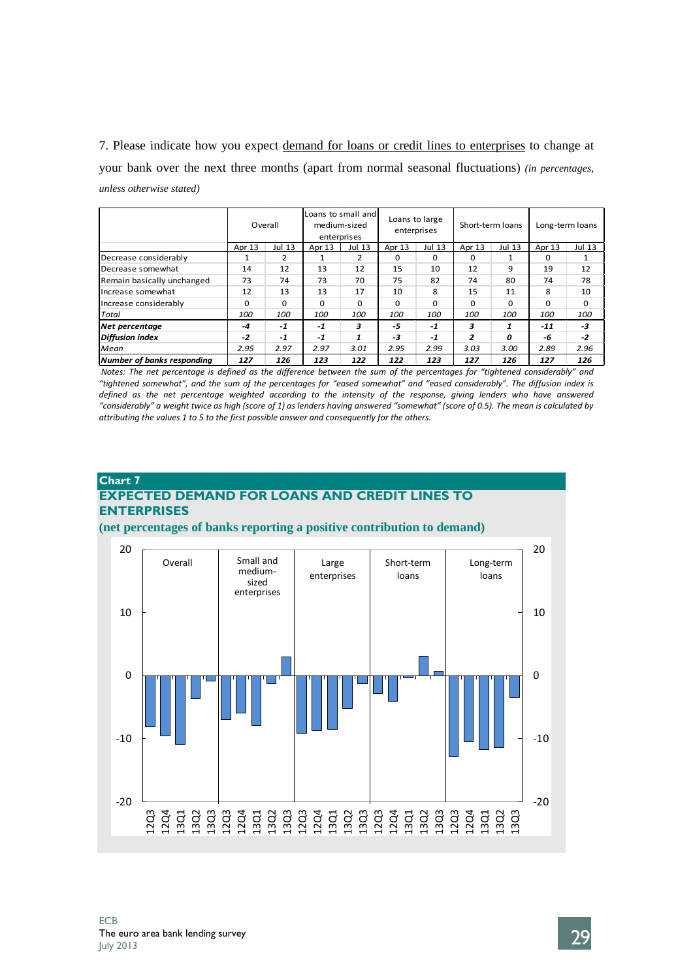7. Please indicate how you expect demand for loans or credit lines to enterprises to change at your bank over the next three months (apart from normal seasonal fluctuations) *(in percentages, unless otherwise stated)*

|                            |          | Overall  |                  | Loans to small and<br>medium-sized<br>enterprises |          | Loans to large<br>enterprises |          | Short-term loans | Long-term loans |              |  |
|----------------------------|----------|----------|------------------|---------------------------------------------------|----------|-------------------------------|----------|------------------|-----------------|--------------|--|
|                            | Apr 13   | Jul 13   | Apr 13<br>Jul 13 |                                                   | Apr 13   | Jul 13                        | Apr 13   | Jul 13           | Apr 13          | Jul 13       |  |
| Decrease considerably      |          | 2        |                  | 2                                                 | $\Omega$ | $\Omega$                      | $\Omega$ |                  | $\Omega$        |              |  |
| Decrease somewhat          | 14       | 12       | 13               | 12                                                | 15       | 10                            | 12       | 9                | 19              | 12           |  |
| Remain basically unchanged | 73       | 74       | 73               | 70                                                | 75       | 82                            | 74       | 80               | 74              | 78           |  |
| Increase somewhat          | 12       | 13       | 13               | 17                                                | 10       | 8                             | 15       | 11               | 8               | 10           |  |
| Increase considerably      | $\Omega$ | $\Omega$ | 0                | $\Omega$                                          | $\Omega$ | $\Omega$                      | $\Omega$ | 0                | $\Omega$        | <sup>0</sup> |  |
| <b>Total</b>               | 100      | 100      | <i>100</i>       | 100                                               | 100      | 100                           | 100      | 100              | 100             | 100          |  |
| Net percentage             | -4       | $-1$     | $-1$             | 3                                                 | -5       | $-1$                          | з        | 1                | $-11$           | $-3$         |  |
| <b>Diffusion index</b>     | $-2$     | $-1$     | $-1$             | 1                                                 | -3       | $-1$                          | 2        | O                | -6              | $-2$         |  |
| <b>Mean</b>                | 2.95     | 2.97     | 2.97<br>3.01     |                                                   | 2.95     | 2.99                          | 3.03     | 3.00             | 2.89            | 2.96         |  |
| Number of banks responding | 127      | 126      | 123              | 122                                               | 122      | 123                           | 127      | 126              | 127             | 126          |  |

*Notes: The net percentage is defined as the difference between the sum of the percentages for "tightened considerably" and "tightened somewhat", and the sum of the percentages for "eased somewhat" and "eased considerably". The diffusion index is defined as the net percentage weighted according to the intensity of the response, giving lenders who have answered "considerably" a weight twice as high (score of 1) as lenders having answered "somewhat" (score of 0.5). The mean is calculated by attributing the values 1 to 5 to the first possible answer and consequently for the others.*

### **Chart 7 EXPECTED DEMAND FOR LOANS AND CREDIT LINES TO ENTERPRISES**

**(net percentages of banks reporting a positive contribution to demand)**

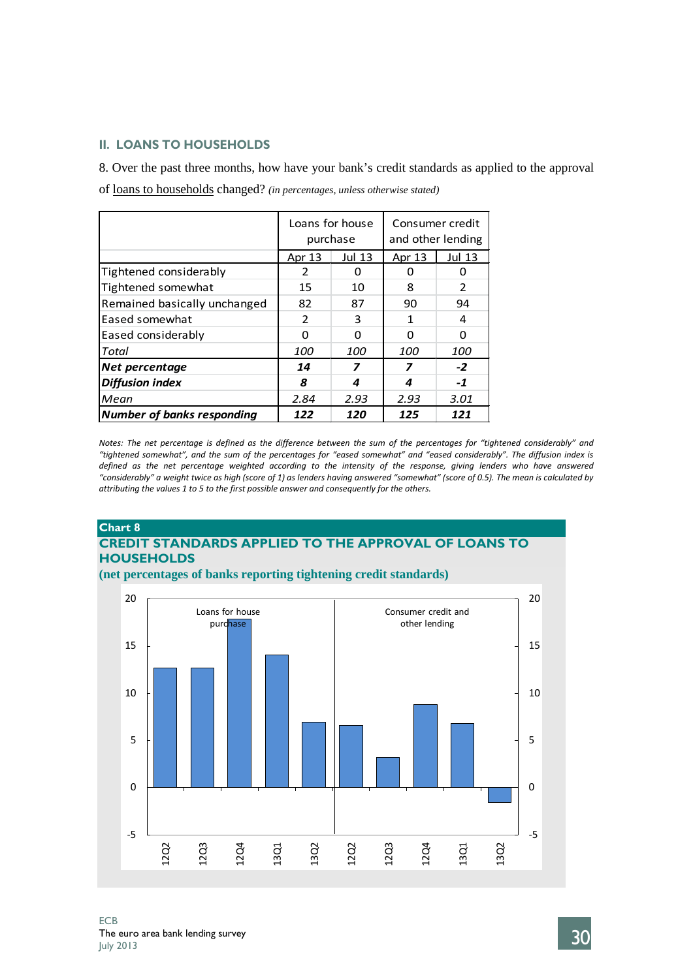### **II. LOANS TO HOUSEHOLDS**

8. Over the past three months, how have your bank's credit standards as applied to the approval

of loans to households changed? *(in percentages, unless otherwise stated)*

|                                   |                | Loans for house<br>purchase | Consumer credit<br>and other lending |                |  |  |
|-----------------------------------|----------------|-----------------------------|--------------------------------------|----------------|--|--|
|                                   | Apr 13         | <b>Jul 13</b>               | Apr 13                               | <b>Jul 13</b>  |  |  |
| Tightened considerably            | 2              | O                           |                                      | O              |  |  |
| Tightened somewhat                | 15             | 10                          | 8                                    | $\overline{2}$ |  |  |
| Remained basically unchanged      | 82             | 87                          | 90                                   | 94             |  |  |
| Eased somewhat                    | $\overline{2}$ | з                           | 1                                    | 4              |  |  |
| Eased considerably                | n              | ŋ                           | n                                    | O              |  |  |
| Total                             | <i>100</i>     | 100                         | <i>100</i>                           | 100            |  |  |
| Net percentage                    | 14             | 7                           | 7                                    | $-2$           |  |  |
| <b>Diffusion index</b>            | 8              |                             | 4                                    | $-1$           |  |  |
| Mean                              | 2.84           | 2.93                        | 2.93                                 | 3.01           |  |  |
| <b>Number of banks responding</b> | 122            | 120                         | 125                                  | 121            |  |  |

*Notes: The net percentage is defined as the difference between the sum of the percentages for "tightened considerably" and "tightened somewhat", and the sum of the percentages for "eased somewhat" and "eased considerably". The diffusion index is defined as the net percentage weighted according to the intensity of the response, giving lenders who have answered "considerably" a weight twice as high (score of 1) as lenders having answered "somewhat" (score of 0.5). The mean is calculated by attributing the values 1 to 5 to the first possible answer and consequently for the others.*

# **Chart 8 CREDIT STANDARDS APPLIED TO THE APPROVAL OF LOANS TO HOUSEHOLDS**



**(net percentages of banks reporting tightening credit standards)**

ECB The euro area bank lending survey<br>  $J_{\text{uly}}$  2013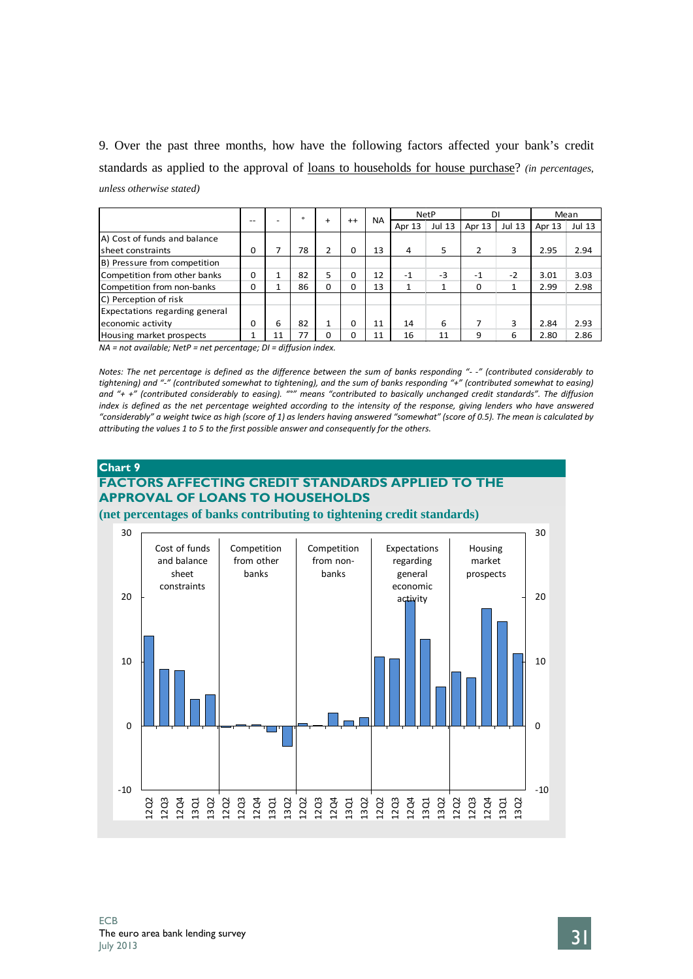9. Over the past three months, how have the following factors affected your bank's credit standards as applied to the approval of loans to households for house purchase? *(in percentages, unless otherwise stated)*

|                                |          |    | $\Omega$ |           | $^{++}$  | <b>NA</b> |        | <b>NetP</b>   | DI             |        |        | Mean   |
|--------------------------------|----------|----|----------|-----------|----------|-----------|--------|---------------|----------------|--------|--------|--------|
|                                | $- -$    |    |          | $\ddot{}$ |          |           | Apr 13 | <b>Jul 13</b> | Apr 13         | Jul 13 | Apr 13 | Jul 13 |
| A) Cost of funds and balance   |          |    |          |           |          |           |        |               |                |        |        |        |
| Isheet constraints             | $\Omega$ |    | 78       | 2         | O        | 13        | 4      | 5             | $\overline{2}$ | 3      | 2.95   | 2.94   |
| B) Pressure from competition   |          |    |          |           |          |           |        |               |                |        |        |        |
| Competition from other banks   | $\Omega$ |    | 82       | 5         | $\Omega$ | 12        | $-1$   | $-3$          | $-1$           | $-2$   | 3.01   | 3.03   |
| Competition from non-banks     | O        |    | 86       | $\Omega$  | O        | 13        | 1      |               | $\Omega$       |        | 2.99   | 2.98   |
| C) Perception of risk          |          |    |          |           |          |           |        |               |                |        |        |        |
| Expectations regarding general |          |    |          |           |          |           |        |               |                |        |        |        |
| economic activity              | O        | 6  | 82       | 1         | O        | 11        | 14     | 6             |                | з      | 2.84   | 2.93   |
| Housing market prospects       |          | 11 | 77       | $\Omega$  | 0        | 11        | 16     | 11            | 9              | 6      | 2.80   | 2.86   |

*NA = not available; NetP = net percentage; DI = diffusion index.*

*Notes: The net percentage is defined as the difference between the sum of banks responding "- -" (contributed considerably to tightening) and "-" (contributed somewhat to tightening), and the sum of banks responding "+" (contributed somewhat to easing) and "+ +" (contributed considerably to easing). "°" means "contributed to basically unchanged credit standards". The diffusion index is defined as the net percentage weighted according to the intensity of the response, giving lenders who have answered "considerably" a weight twice as high (score of 1) as lenders having answered "somewhat" (score of 0.5). The mean is calculated by attributing the values 1 to 5 to the first possible answer and consequently for the others.*

# **Chart 9 FACTORS AFFECTING CREDIT STANDARDS APPLIED TO THE APPROVAL OF LOANS TO HOUSEHOLDS**

**(net percentages of banks contributing to tightening credit standards)**

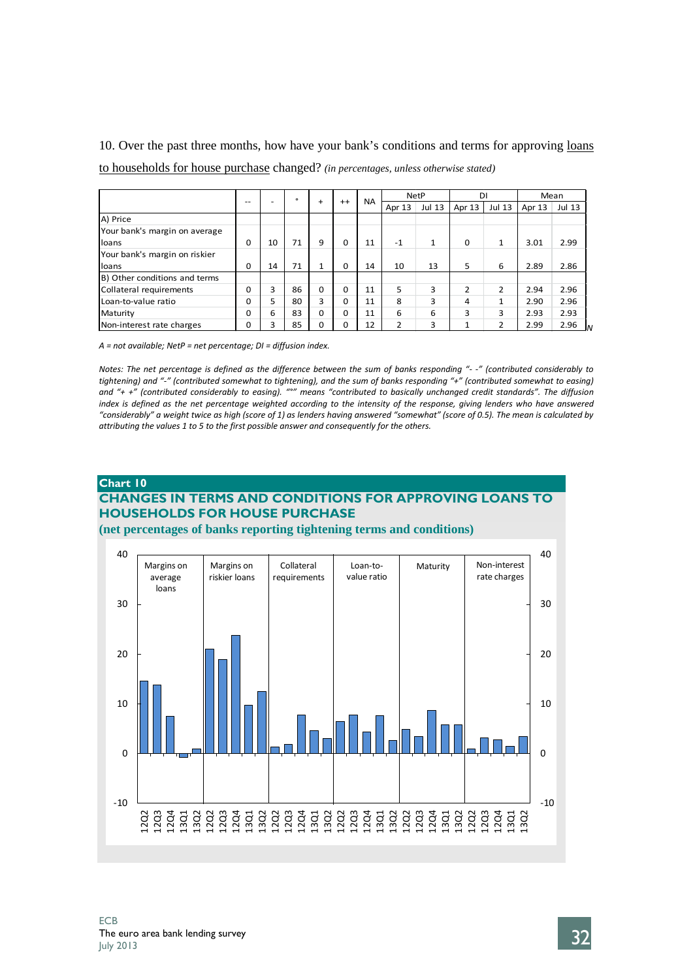10. Over the past three months, how have your bank's conditions and terms for approving loans

to households for house purchase changed? *(in percentages, unless otherwise stated)*

|                               |          |    | $\circ$ | $+$      | $++$         | <b>NA</b> |        | <b>NetP</b>   | DI       |               |        | Mean             |
|-------------------------------|----------|----|---------|----------|--------------|-----------|--------|---------------|----------|---------------|--------|------------------|
|                               | $- -$    | -  |         |          |              |           | Apr 13 | <b>Jul 13</b> | Apr 13   | <b>Jul 13</b> | Apr 13 | Jul 13           |
| A) Price                      |          |    |         |          |              |           |        |               |          |               |        |                  |
| Your bank's margin on average |          |    |         |          |              |           |        |               |          |               |        |                  |
| loans                         | $\Omega$ | 10 | 71      | 9        | $\Omega$     | 11        | $-1$   | 1             | $\Omega$ | 1             | 3.01   | 2.99             |
| Your bank's margin on riskier |          |    |         |          |              |           |        |               |          |               |        |                  |
| loans                         | $\Omega$ | 14 | 71      | <b>1</b> | $\Omega$     | 14        | 10     | 13            | 5        | 6             | 2.89   | 2.86             |
| B) Other conditions and terms |          |    |         |          |              |           |        |               |          |               |        |                  |
| Collateral requirements       | 0        | 3  | 86      | $\Omega$ | $\Omega$     | 11        | 5      | 3             | 2        | $\mathcal{P}$ | 2.94   | 2.96             |
| Loan-to-value ratio           | 0        | 5  | 80      | 3        | $\Omega$     | 11        | 8      | 3             | 4        | 1             | 2.90   | 2.96             |
| Maturity                      | 0        | 6  | 83      | $\Omega$ | <sup>0</sup> | 11        | 6      | 6             | 3        | 3             | 2.93   | 2.93             |
| Non-interest rate charges     | 0        | 3  | 85      | $\Omega$ | 0            | 12        | 2      | 3             | 1        | 2             | 2.99   | 2.96<br><b>I</b> |

*A = not available; NetP = net percentage; DI = diffusion index.*

*Notes: The net percentage is defined as the difference between the sum of banks responding "- -" (contributed considerably to tightening) and "-" (contributed somewhat to tightening), and the sum of banks responding "+" (contributed somewhat to easing) and "+ +" (contributed considerably to easing). "°" means "contributed to basically unchanged credit standards". The diffusion index is defined as the net percentage weighted according to the intensity of the response, giving lenders who have answered "considerably" a weight twice as high (score of 1) as lenders having answered "somewhat" (score of 0.5). The mean is calculated by attributing the values 1 to 5 to the first possible answer and consequently for the others.*

## **Chart 10 CHANGES IN TERMS AND CONDITIONS FOR APPROVING LOANS TO HOUSEHOLDS FOR HOUSE PURCHASE**

**(net percentages of banks reporting tightening terms and conditions)**

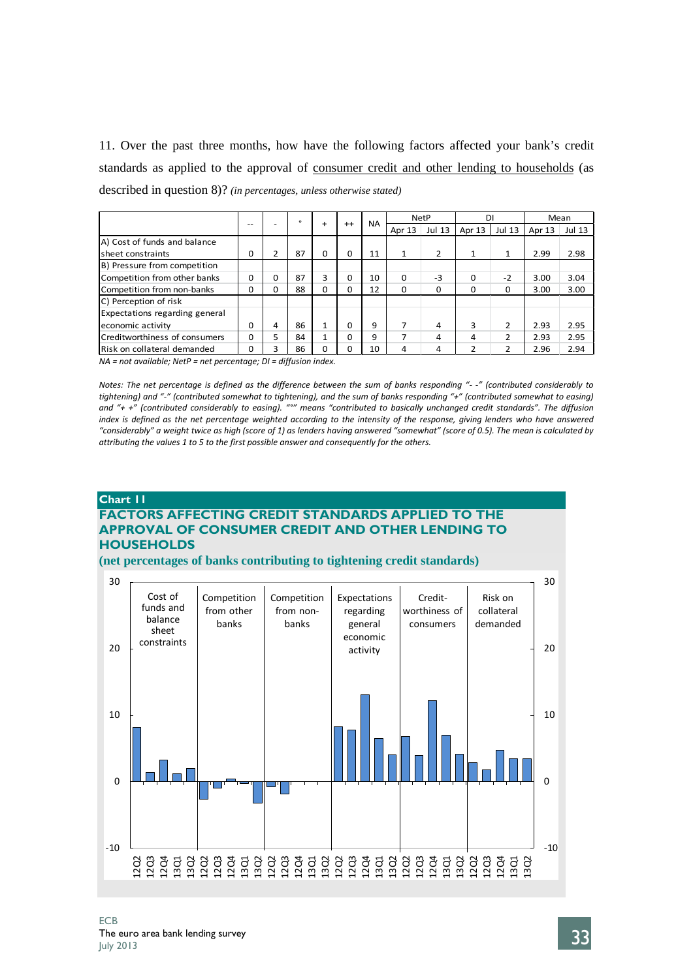11. Over the past three months, how have the following factors affected your bank's credit standards as applied to the approval of consumer credit and other lending to households (as described in question 8)? *(in percentages, unless otherwise stated)*

|                                |       |          | $\Omega$ |              |          |           |          | <b>NetP</b>   | DI             |               |        | Mean   |
|--------------------------------|-------|----------|----------|--------------|----------|-----------|----------|---------------|----------------|---------------|--------|--------|
|                                | $- -$ |          |          | $\ddot{}$    | $^{++}$  | <b>NA</b> | Apr 13   | <b>Jul 13</b> | Apr 13         | <b>Jul 13</b> | Apr 13 | Jul 13 |
| A) Cost of funds and balance   |       |          |          |              |          |           |          |               |                |               |        |        |
| sheet constraints              | 0     |          | 87       | $\Omega$     | 0        | 11        | 1        | 2             | $\mathbf{1}$   | 1             | 2.99   | 2.98   |
| B) Pressure from competition   |       |          |          |              |          |           |          |               |                |               |        |        |
| Competition from other banks   | O     |          | 87       | 3            | 0        | 10        | $\Omega$ | -3            | O              | $-2$          | 3.00   | 3.04   |
| Competition from non-banks     | ŋ     | $\Omega$ | 88       | $\Omega$     | 0        | 12        | $\Omega$ | 0             | 0              | $\Omega$      | 3.00   | 3.00   |
| C) Perception of risk          |       |          |          |              |          |           |          |               |                |               |        |        |
| Expectations regarding general |       |          |          |              |          |           |          |               |                |               |        |        |
| economic activity              | 0     | 4        | 86       | $\mathbf{1}$ | $\Omega$ | 9         | 7        | 4             | 3              | 2             | 2.93   | 2.95   |
| Creditworthiness of consumers  | O     | 5        | 84       | 1            | 0        | 9         | 7        | 4             | 4              | 2             | 2.93   | 2.95   |
| Risk on collateral demanded    | ŋ     | ς        | 86       | $\mathbf 0$  | 0        | 10        | 4        | 4             | $\overline{2}$ | 2             | 2.96   | 2.94   |

*NA = not available; NetP = net percentage; DI = diffusion index.*

*Notes: The net percentage is defined as the difference between the sum of banks responding "- -" (contributed considerably to tightening) and "-" (contributed somewhat to tightening), and the sum of banks responding "+" (contributed somewhat to easing) and "+ +" (contributed considerably to easing). "°" means "contributed to basically unchanged credit standards". The diffusion index is defined as the net percentage weighted according to the intensity of the response, giving lenders who have answered "considerably" a weight twice as high (score of 1) as lenders having answered "somewhat" (score of 0.5). The mean is calculated by attributing the values 1 to 5 to the first possible answer and consequently for the others.*

### **Chart 11 FACTORS AFFECTING CREDIT STANDARDS APPLIED TO THE APPROVAL OF CONSUMER CREDIT AND OTHER LENDING TO HOUSEHOLDS**

**(net percentages of banks contributing to tightening credit standards)**

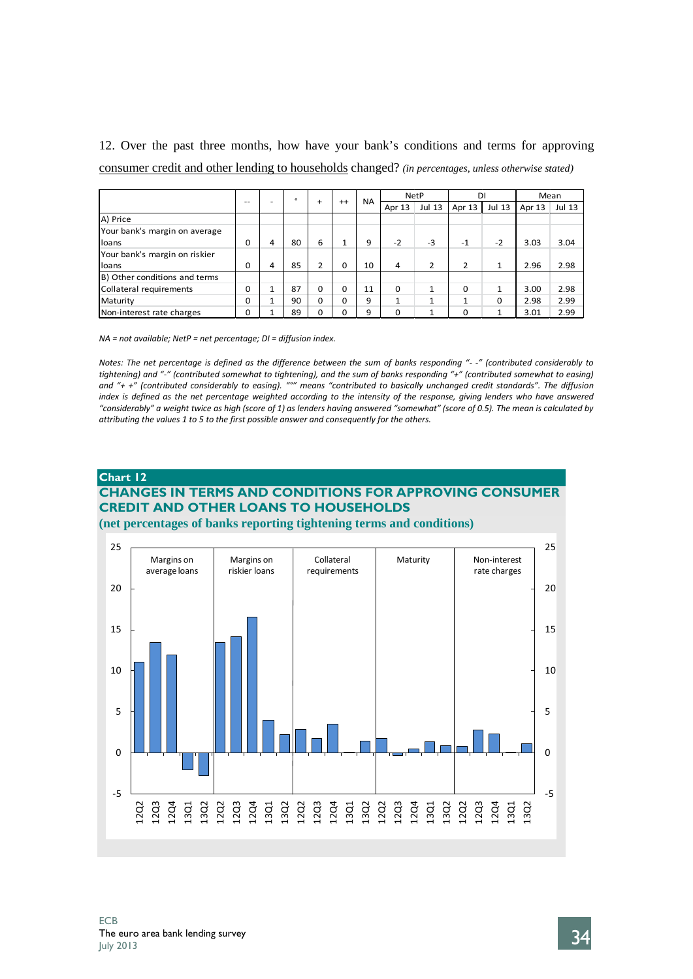12. Over the past three months, how have your bank's conditions and terms for approving consumer credit and other lending to households changed? *(in percentages, unless otherwise stated)*

|                               |          |                | $\circ$ | $\ddot{}$ |                          | <b>NA</b> |                          | <b>NetP</b>   | DI             |              | Mean   |        |
|-------------------------------|----------|----------------|---------|-----------|--------------------------|-----------|--------------------------|---------------|----------------|--------------|--------|--------|
|                               | --       | -              |         |           | $^{++}$                  |           | Apr 13                   | <b>Jul 13</b> | Apr 13         | Jul 13       | Apr 13 | Jul 13 |
| A) Price                      |          |                |         |           |                          |           |                          |               |                |              |        |        |
| Your bank's margin on average |          |                |         |           |                          |           |                          |               |                |              |        |        |
| lloans                        | $\Omega$ | 4              | 80      | 6         | $\overline{\phantom{a}}$ | 9         | $-2$                     | $-3$          | $-1$           | $-2$         | 3.03   | 3.04   |
| Your bank's margin on riskier |          |                |         |           |                          |           |                          |               |                |              |        |        |
| loans                         | 0        | 4              | 85      | 2         | 0                        | 10        | 4                        | 2             | $\overline{2}$ | 1            | 2.96   | 2.98   |
| B) Other conditions and terms |          |                |         |           |                          |           |                          |               |                |              |        |        |
| Collateral requirements       | $\Omega$ | $\overline{ }$ | 87      | $\Omega$  | 0                        | 11        | 0                        | 1             | $\Omega$       | 1            | 3.00   | 2.98   |
| Maturity                      | O        |                | 90      | $\Omega$  | O                        | 9         | $\overline{\phantom{a}}$ | $\mathbf{1}$  | 1              | $\Omega$     | 2.98   | 2.99   |
| Non-interest rate charges     | 0        |                | 89      | 0         | 0                        | 9         | 0                        | 1             | $\Omega$       | $\mathbf{1}$ | 3.01   | 2.99   |

*NA = not available; NetP = net percentage; DI = diffusion index.*

*Notes: The net percentage is defined as the difference between the sum of banks responding "- -" (contributed considerably to tightening) and "-" (contributed somewhat to tightening), and the sum of banks responding "+" (contributed somewhat to easing) and "+ +" (contributed considerably to easing). "°" means "contributed to basically unchanged credit standards". The diffusion index is defined as the net percentage weighted according to the intensity of the response, giving lenders who have answered "considerably" a weight twice as high (score of 1) as lenders having answered "somewhat" (score of 0.5). The mean is calculated by attributing the values 1 to 5 to the first possible answer and consequently for the others.*

# **Chart 12 CHANGES IN TERMS AND CONDITIONS FOR APPROVING CONSUMER CREDIT AND OTHER LOANS TO HOUSEHOLDS**

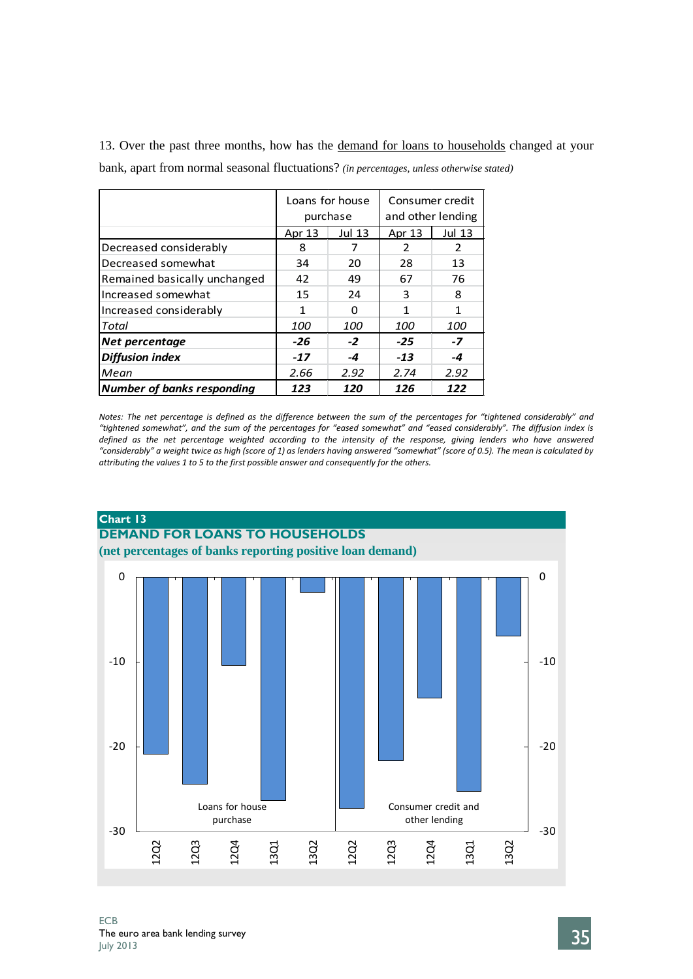13. Over the past three months, how has the demand for loans to households changed at your bank, apart from normal seasonal fluctuations? *(in percentages, unless otherwise stated)*

|                                   |            | Loans for house<br>purchase | and other lending | Consumer credit |
|-----------------------------------|------------|-----------------------------|-------------------|-----------------|
|                                   | Apr 13     | <b>Jul 13</b>               | Apr 13            | <b>Jul 13</b>   |
| Decreased considerably            | 8          |                             | 2                 | 2               |
| Decreased somewhat                | 34         | 20                          | 28                | 13              |
| Remained basically unchanged      | 42         | 49                          | 67                | 76              |
| Increased somewhat                | 15         | 24                          | 3                 | 8               |
| Increased considerably            | 1          | ŋ                           | 1                 | 1               |
| Total                             | <i>100</i> | 100                         | <i>100</i>        | <i>100</i>      |
| Net percentage                    | $-26$      | $-2$                        | $-25$             | $-7$            |
| <b>Diffusion index</b>            | $-17$      | -4                          | $-13$             | -4              |
| Mean                              | 2.66       | 2.92                        | 2.74              | 2.92            |
| <b>Number of banks responding</b> | 123        | 120                         | 126               | 122             |

*Notes: The net percentage is defined as the difference between the sum of the percentages for "tightened considerably" and "tightened somewhat", and the sum of the percentages for "eased somewhat" and "eased considerably". The diffusion index is defined as the net percentage weighted according to the intensity of the response, giving lenders who have answered "considerably" a weight twice as high (score of 1) as lenders having answered "somewhat" (score of 0.5). The mean is calculated by attributing the values 1 to 5 to the first possible answer and consequently for the others.*

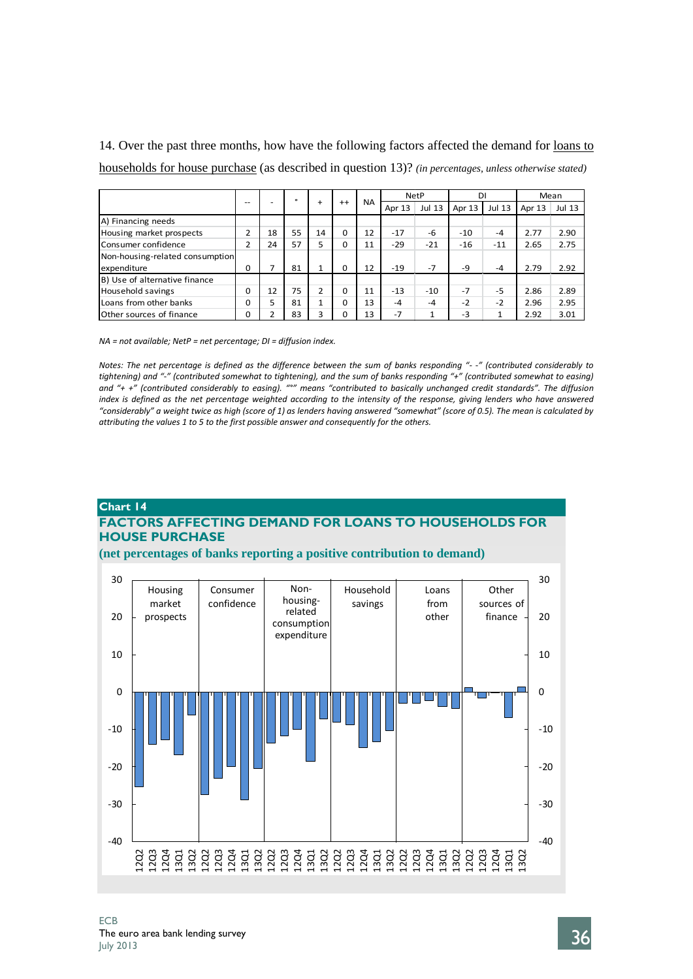14. Over the past three months, how have the following factors affected the demand for loans to households for house purchase (as described in question 13)? *(in percentages, unless otherwise stated)*

|                                 |    |    | $\circ$ |                |          | <b>NA</b> |        | <b>NetP</b>   | DΙ     |        |        | Mean          |
|---------------------------------|----|----|---------|----------------|----------|-----------|--------|---------------|--------|--------|--------|---------------|
|                                 | -- |    |         | $+$            | $++$     |           | Apr 13 | <b>Jul 13</b> | Apr 13 | Jul 13 | Apr 13 | <b>Jul 13</b> |
| A) Financing needs              |    |    |         |                |          |           |        |               |        |        |        |               |
| Housing market prospects        | h, | 18 | 55      | 14             | $\Omega$ | 12        | $-17$  | -6            | $-10$  | $-4$   | 2.77   | 2.90          |
| Consumer confidence             | h, | 24 | 57      | 5              | 0        | 11        | $-29$  | $-21$         | $-16$  | $-11$  | 2.65   | 2.75          |
| Non-housing-related consumption |    |    |         |                |          |           |        |               |        |        |        |               |
| expenditure                     | 0  | ⇁  | 81      | $\mathbf{1}$   | $\Omega$ | 12        | $-19$  | $-7$          | $-9$   | $-4$   | 2.79   | 2.92          |
| B) Use of alternative finance   |    |    |         |                |          |           |        |               |        |        |        |               |
| Household savings               | 0  | 12 | 75      | $\overline{2}$ | $\Omega$ | 11        | $-13$  | $-10$         | $-7$   | $-5$   | 2.86   | 2.89          |
| Loans from other banks          | 0  |    | 81      | $\mathbf{1}$   | $\Omega$ | 13        | $-4$   | $-4$          | $-2$   | $-2$   | 2.96   | 2.95          |
| Other sources of finance        | 0  |    | 83      | 3              | 0        | 13        | $-7$   | 1             | $-3$   | 1      | 2.92   | 3.01          |

*NA = not available; NetP = net percentage; DI = diffusion index.*

*Notes: The net percentage is defined as the difference between the sum of banks responding "- -" (contributed considerably to tightening) and "-" (contributed somewhat to tightening), and the sum of banks responding "+" (contributed somewhat to easing) and "+ +" (contributed considerably to easing). "°" means "contributed to basically unchanged credit standards". The diffusion index is defined as the net percentage weighted according to the intensity of the response, giving lenders who have answered "considerably" a weight twice as high (score of 1) as lenders having answered "somewhat" (score of 0.5). The mean is calculated by attributing the values 1 to 5 to the first possible answer and consequently for the others.*

### **Chart 14 FACTORS AFFECTING DEMAND FOR LOANS TO HOUSEHOLDS FOR HOUSE PURCHASE**



### **(net percentages of banks reporting a positive contribution to demand)**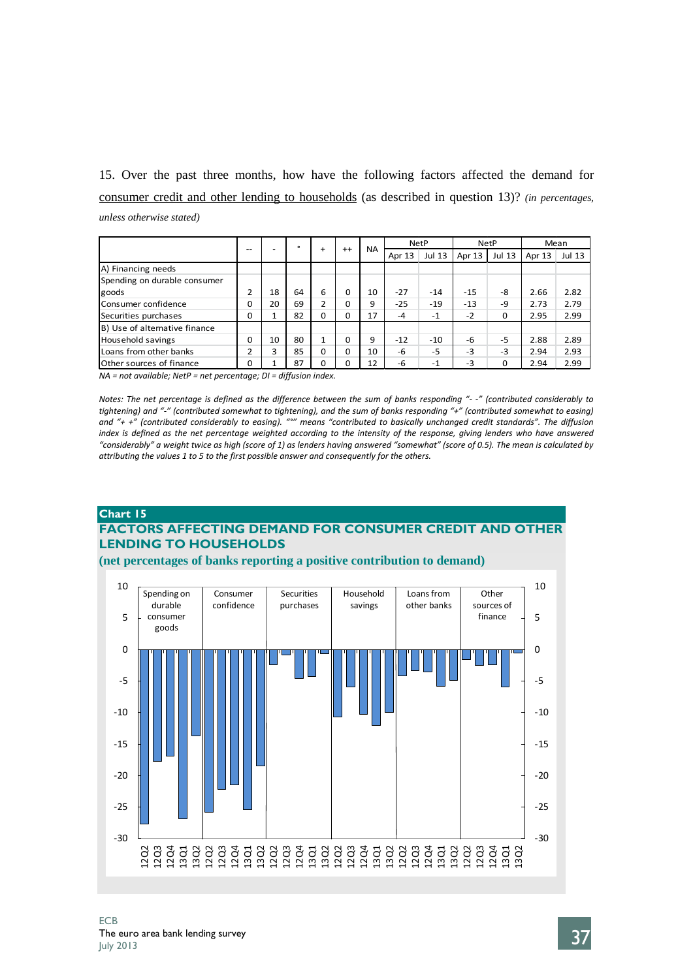15. Over the past three months, how have the following factors affected the demand for consumer credit and other lending to households (as described in question 13)? *(in percentages, unless otherwise stated)*

|                               |          |    | $\circ$ |           |         |           |        | <b>NetP</b>   |        | <b>NetP</b>   |        | Mean          |
|-------------------------------|----------|----|---------|-----------|---------|-----------|--------|---------------|--------|---------------|--------|---------------|
|                               | $- -$    |    |         | $\ddot{}$ | $^{++}$ | <b>NA</b> | Apr 13 | <b>Jul 13</b> | Apr 13 | <b>Jul 13</b> | Apr 13 | <b>Jul 13</b> |
| A) Financing needs            |          |    |         |           |         |           |        |               |        |               |        |               |
| Spending on durable consumer  |          |    |         |           |         |           |        |               |        |               |        |               |
| goods                         | C        | 18 | 64      | 6         | 0       | 10        | $-27$  | $-14$         | $-1.5$ | -8            | 2.66   | 2.82          |
| Consumer confidence           | O        | 20 | 69      | 2         | O       | 9         | $-25$  | $-19$         | $-13$  | -9            | 2.73   | 2.79          |
| Securities purchases          | $\Omega$ |    | 82      | $\Omega$  | 0       | 17        | $-4$   | $-1$          | $-2$   | 0             | 2.95   | 2.99          |
| B) Use of alternative finance |          |    |         |           |         |           |        |               |        |               |        |               |
| Household savings             | $\Omega$ | 10 | 80      | 1         | 0       | 9         | $-12$  | $-10$         | -6     | $-5$          | 2.88   | 2.89          |
| Loans from other banks        | h        | 3  | 85      | $\Omega$  | 0       | 10        | -6     | $-5$          | $-3$   | $-3$          | 2.94   | 2.93          |
| Other sources of finance      | 0        |    | 87      | $\Omega$  | 0       | 12        | -6     | $-1$          | $-3$   | 0             | 2.94   | 2.99          |

*NA = not available; NetP = net percentage; DI = diffusion index.*

*Notes: The net percentage is defined as the difference between the sum of banks responding "- -" (contributed considerably to tightening) and "-" (contributed somewhat to tightening), and the sum of banks responding "+" (contributed somewhat to easing) and "+ +" (contributed considerably to easing). "°" means "contributed to basically unchanged credit standards". The diffusion index is defined as the net percentage weighted according to the intensity of the response, giving lenders who have answered "considerably" a weight twice as high (score of 1) as lenders having answered "somewhat" (score of 0.5). The mean is calculated by attributing the values 1 to 5 to the first possible answer and consequently for the others.*

### **Chart 15**

# **FACTORS AFFECTING DEMAND FOR CONSUMER CREDIT AND OTHER LENDING TO HOUSEHOLDS**

**(net percentages of banks reporting a positive contribution to demand)**

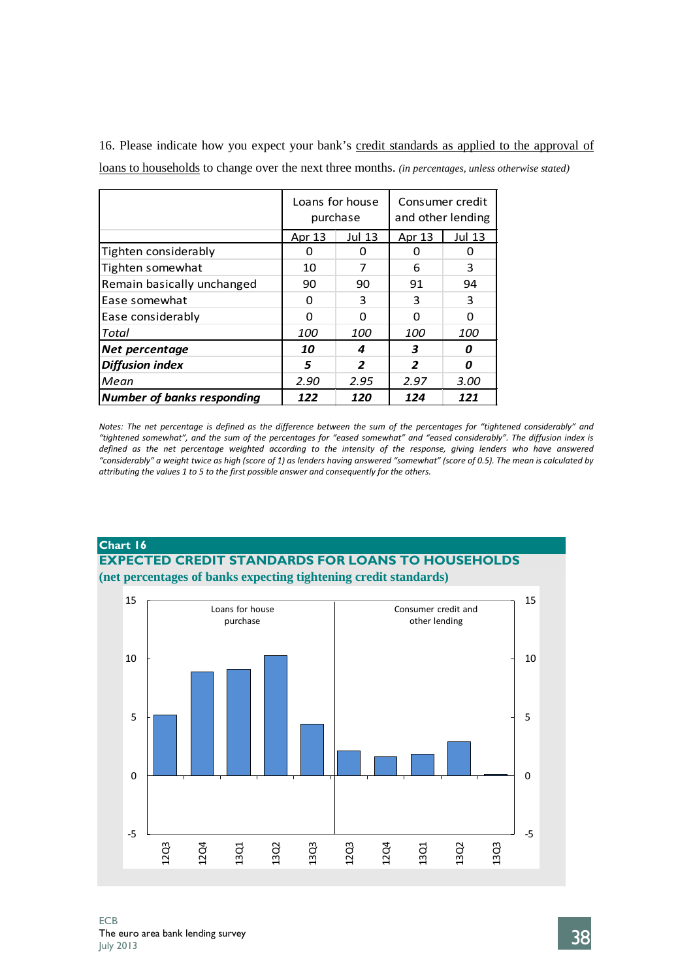|                                   |            | Loans for house<br>purchase | and other lending | Consumer credit |  |
|-----------------------------------|------------|-----------------------------|-------------------|-----------------|--|
|                                   | Apr 13     | <b>Jul 13</b>               | Apr 13            | Jul 13          |  |
| Tighten considerably              |            | O                           |                   |                 |  |
| Tighten somewhat                  | 10         | 7                           | 6                 | 3               |  |
| Remain basically unchanged        | 90         | 90                          | 91                | 94              |  |
| Ease somewhat                     | O          | 3                           | 3                 | 3               |  |
| Ease considerably                 | ŋ          |                             | n                 | O               |  |
| Total                             | <i>100</i> | <i>100</i>                  | <i>100</i>        | <i>100</i>      |  |
| <b>Net percentage</b>             | 10         | 4                           | 3                 | Ω               |  |
| <b>Diffusion index</b>            | 5          | 2                           | 2                 | Ω               |  |
| Mean                              | 2.90       | 2.95                        | 2.97              | 3.00            |  |
| <b>Number of banks responding</b> | 122        | 120                         | 124<br>121        |                 |  |

16. Please indicate how you expect your bank's credit standards as applied to the approval of loans to households to change over the next three months. *(in percentages, unless otherwise stated)*

*Notes: The net percentage is defined as the difference between the sum of the percentages for "tightened considerably" and "tightened somewhat", and the sum of the percentages for "eased somewhat" and "eased considerably". The diffusion index is defined as the net percentage weighted according to the intensity of the response, giving lenders who have answered "considerably" a weight twice as high (score of 1) as lenders having answered "somewhat" (score of 0.5). The mean is calculated by attributing the values 1 to 5 to the first possible answer and consequently for the others.*

# **Chart 16 EXPECTED CREDIT STANDARDS FOR LOANS TO HOUSEHOLDS (net percentages of banks expecting tightening credit standards)**

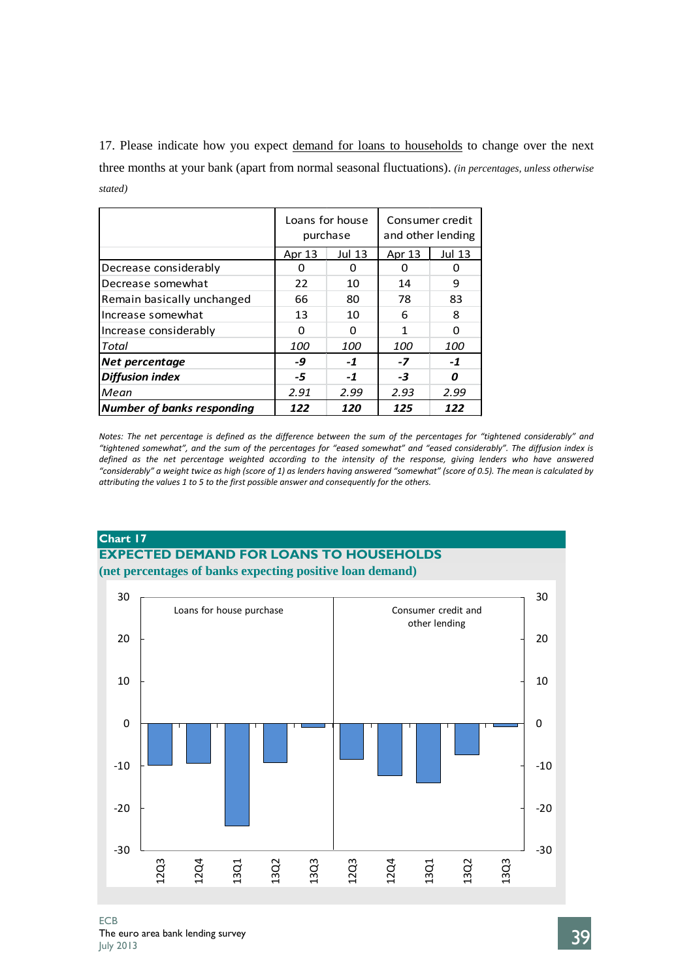17. Please indicate how you expect demand for loans to households to change over the next three months at your bank (apart from normal seasonal fluctuations). *(in percentages, unless otherwise stated)*

|                                   |            | Loans for house<br>purchase | and other lending | Consumer credit |
|-----------------------------------|------------|-----------------------------|-------------------|-----------------|
|                                   | Apr 13     | Jul 13                      | Apr 13            | <b>Jul 13</b>   |
| Decrease considerably             | 0          | 0                           | 0                 | 0               |
| Decrease somewhat                 | 22         | 10                          | 14                | 9               |
| Remain basically unchanged        | 66         | 80                          | 78                | 83              |
| Increase somewhat                 | 13         | 10                          | 6                 | 8               |
| Increase considerably             | ŋ          | U                           | 1                 | O               |
| Total                             | <i>100</i> | 100                         | <i>100</i>        | <i>100</i>      |
| Net percentage                    | -9         | $-1$                        | $-7$              | $-1$            |
| <b>Diffusion index</b>            | -5         | $-1$                        | -3                | Ω               |
| Mean                              | 2.91       | 2.99                        | 2.93              | 2.99            |
| <b>Number of banks responding</b> | 122        | 120                         | 125               | 122             |

*Notes: The net percentage is defined as the difference between the sum of the percentages for "tightened considerably" and "tightened somewhat", and the sum of the percentages for "eased somewhat" and "eased considerably". The diffusion index is defined as the net percentage weighted according to the intensity of the response, giving lenders who have answered "considerably" a weight twice as high (score of 1) as lenders having answered "somewhat" (score of 0.5). The mean is calculated by attributing the values 1 to 5 to the first possible answer and consequently for the others.*

### **Chart 17**

# **EXPECTED DEMAND FOR LOANS TO HOUSEHOLDS (net percentages of banks expecting positive loan demand)**

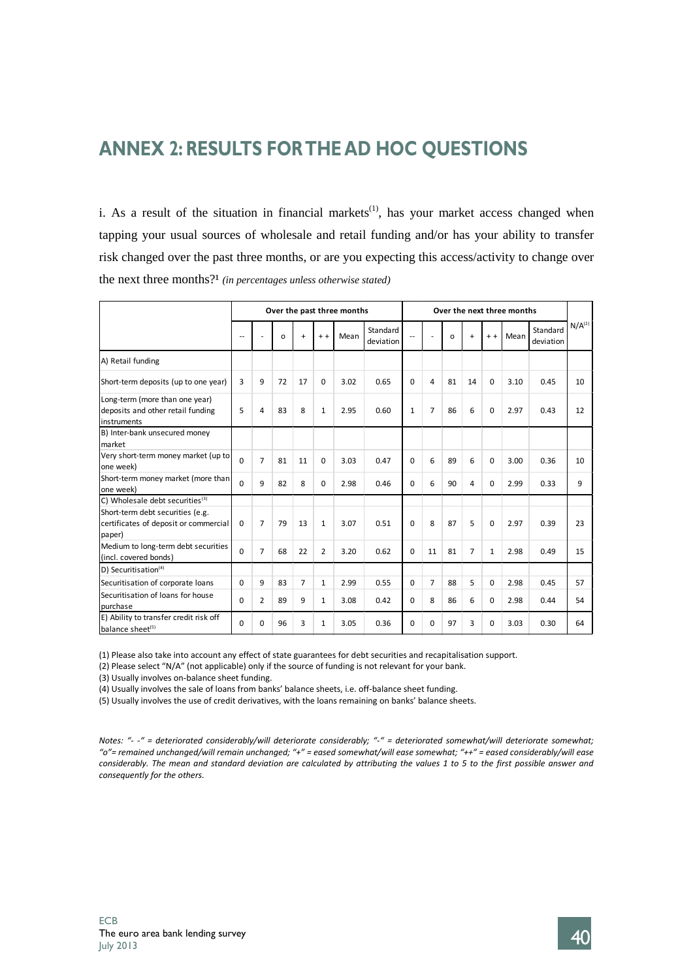# **ANNEX 2: RESULTS FORTHE AD HOC QUESTIONS**

i. As a result of the situation in financial markets<sup>(1)</sup>, has your market access changed when tapping your usual sources of wholesale and retail funding and/or has your ability to transfer risk changed over the past three months, or are you expecting this access/activity to change over the next three months?<sup>1</sup> (in percentages unless otherwise stated)

|                                                                                     |                          | Over the past three months |         |                |                |      |                       | Over the next three months |                |          |                |              |      |                       |                    |
|-------------------------------------------------------------------------------------|--------------------------|----------------------------|---------|----------------|----------------|------|-----------------------|----------------------------|----------------|----------|----------------|--------------|------|-----------------------|--------------------|
|                                                                                     | $\overline{\phantom{a}}$ |                            | $\circ$ | $\ddot{}$      | $+ +$          | Mean | Standard<br>deviation |                            |                | $\Omega$ | $+$            | $+ +$        | Mean | Standard<br>deviation | N/A <sup>(2)</sup> |
| A) Retail funding                                                                   |                          |                            |         |                |                |      |                       |                            |                |          |                |              |      |                       |                    |
| Short-term deposits (up to one year)                                                | 3                        | 9                          | 72      | 17             | 0              | 3.02 | 0.65                  | $\Omega$                   | $\overline{4}$ | 81       | 14             | $\Omega$     | 3.10 | 0.45                  | 10                 |
| Long-term (more than one year)<br>deposits and other retail funding<br>instruments  | 5                        | 4                          | 83      | 8              | $\mathbf{1}$   | 2.95 | 0.60                  | $\mathbf{1}$               | $\overline{7}$ | 86       | 6              | 0            | 2.97 | 0.43                  | 12                 |
| B) Inter-bank unsecured money<br>market                                             |                          |                            |         |                |                |      |                       |                            |                |          |                |              |      |                       |                    |
| Very short-term money market (up to<br>one week)                                    | $\Omega$                 | $\overline{7}$             | 81      | 11             | $\Omega$       | 3.03 | 0.47                  | $\Omega$                   | 6              | 89       | 6              | $\Omega$     | 3.00 | 0.36                  | 10                 |
| Short-term money market (more than<br>one week)                                     | $\Omega$                 | 9                          | 82      | 8              | $\Omega$       | 2.98 | 0.46                  | $\Omega$                   | 6              | 90       | 4              | $\Omega$     | 2.99 | 0.33                  | 9                  |
| C) Wholesale debt securities <sup>(3)</sup>                                         |                          |                            |         |                |                |      |                       |                            |                |          |                |              |      |                       |                    |
| Short-term debt securities (e.g.<br>certificates of deposit or commercial<br>paper) | $\Omega$                 | $\overline{7}$             | 79      | 13             | $\mathbf{1}$   | 3.07 | 0.51                  | $\Omega$                   | 8              | 87       | 5              | $\Omega$     | 2.97 | 0.39                  | 23                 |
| Medium to long-term debt securities<br>(incl. covered bonds)                        | $\Omega$                 | $\overline{7}$             | 68      | 22             | $\overline{2}$ | 3.20 | 0.62                  | $\Omega$                   | 11             | 81       | $\overline{7}$ | $\mathbf{1}$ | 2.98 | 0.49                  | 15                 |
| D) Securitisation $(4)$                                                             |                          |                            |         |                |                |      |                       |                            |                |          |                |              |      |                       |                    |
| Securitisation of corporate loans                                                   | $\Omega$                 | 9                          | 83      | $\overline{7}$ | $\mathbf{1}$   | 2.99 | 0.55                  | $\Omega$                   | $\overline{7}$ | 88       | 5              | $\Omega$     | 2.98 | 0.45                  | 57                 |
| Securitisation of loans for house<br>purchase                                       | $\Omega$                 | 2                          | 89      | 9              | $\mathbf{1}$   | 3.08 | 0.42                  | $\Omega$                   | 8              | 86       | 6              | <sup>0</sup> | 2.98 | 0.44                  | 54                 |
| E) Ability to transfer credit risk off<br>balance sheet <sup>(5)</sup>              | $\Omega$                 | O                          | 96      | 3              | $\mathbf{1}$   | 3.05 | 0.36                  | $\Omega$                   | $\Omega$       | 97       | 3              | $\Omega$     | 3.03 | 0.30                  | 64                 |

(1) Please also take into account any effect of state guarantees for debt securities and recapitalisation support.

(2) Please select "N/A" (not applicable) only if the source of funding is not relevant for your bank.

(3) Usually involves on-balance sheet funding.

(4) Usually involves the sale of loans from banks' balance sheets, i.e. off-balance sheet funding.

(5) Usually involves the use of credit derivatives, with the loans remaining on banks' balance sheets.

*Notes: "- -" = deteriorated considerably/will deteriorate considerably; "-" = deteriorated somewhat/will deteriorate somewhat; "o"= remained unchanged/will remain unchanged; "+" = eased somewhat/will ease somewhat; "++" = eased considerably/will ease considerably. The mean and standard deviation are calculated by attributing the values 1 to 5 to the first possible answer and consequently for the others.*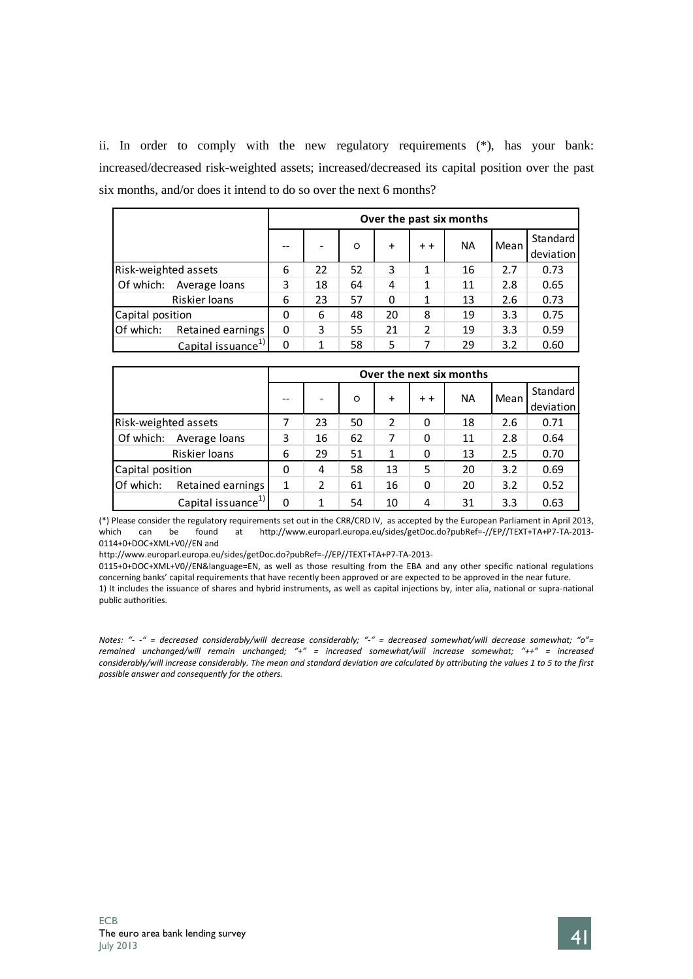ii. In order to comply with the new regulatory requirements (\*), has your bank: increased/decreased risk-weighted assets; increased/decreased its capital position over the past six months, and/or does it intend to do so over the next 6 months?

|                                |   | Over the past six months |    |           |                |           |      |                       |  |  |  |  |  |
|--------------------------------|---|--------------------------|----|-----------|----------------|-----------|------|-----------------------|--|--|--|--|--|
|                                |   | -                        | O  | $\ddot{}$ | $+ +$          | <b>NA</b> | Mean | Standard<br>deviation |  |  |  |  |  |
| Risk-weighted assets           | 6 | 22                       | 52 | 3         | 1              | 16        | 2.7  | 0.73                  |  |  |  |  |  |
| Of which:<br>Average loans     | 3 | 18                       | 64 | 4         | 1              | 11        | 2.8  | 0.65                  |  |  |  |  |  |
| Riskier Ioans                  | 6 | 23                       | 57 | 0         | 1              | 13        | 2.6  | 0.73                  |  |  |  |  |  |
| Capital position               | 0 | 6                        | 48 | 20        | 8              | 19        | 3.3  | 0.75                  |  |  |  |  |  |
| Of which:<br>Retained earnings | 0 | 3                        | 55 | 21        | $\overline{2}$ | 19        | 3.3  | 0.59                  |  |  |  |  |  |
| Capital issuance <sup>1</sup>  | 0 | 1                        | 58 | 5         | 7              | 29        | 3.2  | 0.60                  |  |  |  |  |  |

|                      |                                |   | Over the next six months |    |           |       |    |      |           |  |  |  |  |
|----------------------|--------------------------------|---|--------------------------|----|-----------|-------|----|------|-----------|--|--|--|--|
|                      |                                |   |                          | O  | $\ddot{}$ | $+ +$ | NA | Mean | Standard  |  |  |  |  |
|                      |                                |   |                          |    |           |       |    |      | deviation |  |  |  |  |
| Risk-weighted assets |                                | 7 | 23                       | 50 | 2         | 0     | 18 | 2.6  | 0.71      |  |  |  |  |
| Of which:            | Average loans                  | 3 | 16                       | 62 |           | 0     | 11 | 2.8  | 0.64      |  |  |  |  |
|                      | Riskier loans                  | 6 | 29                       | 51 | 1         | 0     | 13 | 2.5  | 0.70      |  |  |  |  |
| Capital position     |                                | 0 | 4                        | 58 | 13        | 5     | 20 | 3.2  | 0.69      |  |  |  |  |
| Of which:            | Retained earnings              | 1 | 2                        | 61 | 16        | 0     | 20 | 3.2  | 0.52      |  |  |  |  |
|                      | Capital issuance <sup>1)</sup> | 0 | 1                        | 54 | 10        | 4     | 31 | 3.3  | 0.63      |  |  |  |  |

(\*) Please consider the regulatory requirements set out in the CRR/CRD IV, as accepted by the European Parliament in April 2013, which can be found at http://www.europarl.europa.eu/sides/getDoc.do?pubRef=-//EP//TEXT+TA+P7-TA-2013- 0114+0+DOC+XML+V0//EN and

http://www.europarl.europa.eu/sides/getDoc.do?pubRef=-//EP//TEXT+TA+P7-TA-2013-

0115+0+DOC+XML+V0//EN&language=EN, as well as those resulting from the EBA and any other specific national regulations concerning banks' capital requirements that have recently been approved or are expected to be approved in the near future.

1) It includes the issuance of shares and hybrid instruments, as well as capital injections by, inter alia, national or supra-national public authorities.

*Notes: "- -" = decreased considerably/will decrease considerably; "-" = decreased somewhat/will decrease somewhat; "o"= remained unchanged/will remain unchanged; "+" = increased somewhat/will increase somewhat; "++" = increased considerably/will increase considerably. The mean and standard deviation are calculated by attributing the values 1 to 5 to the first possible answer and consequently for the others.*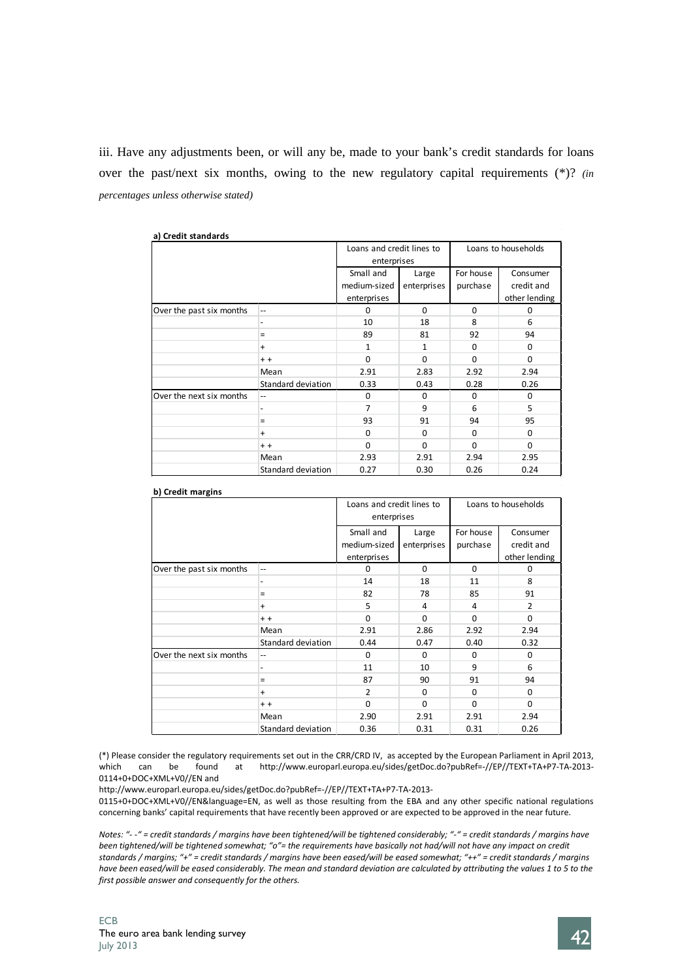iii. Have any adjustments been, or will any be, made to your bank's credit standards for loans over the past/next six months, owing to the new regulatory capital requirements (\*)? *(in percentages unless otherwise stated)*

| a) Credit standards      |                    |                           |              |           |                     |
|--------------------------|--------------------|---------------------------|--------------|-----------|---------------------|
|                          |                    | Loans and credit lines to |              |           | Loans to households |
|                          |                    | enterprises               |              |           |                     |
|                          |                    | Small and                 | Large        | For house | Consumer            |
|                          |                    | medium-sized              | enterprises  | purchase  | credit and          |
|                          |                    | enterprises               |              |           | other lending       |
| Over the past six months | $-$                | $\Omega$                  | $\Omega$     | $\Omega$  | n                   |
|                          |                    | 10                        | 18           | 8         | 6                   |
|                          | $\equiv$           | 89                        | 81           | 92        | 94                  |
|                          | $\ddot{}$          | $\mathbf{1}$              | $\mathbf{1}$ | $\Omega$  | $\Omega$            |
|                          | $+ +$              | $\Omega$                  | $\Omega$     | $\Omega$  | $\Omega$            |
|                          | Mean               | 2.91                      | 2.83         | 2.92      | 2.94                |
|                          | Standard deviation | 0.33                      | 0.43         | 0.28      | 0.26                |
| Over the next six months | $-$                | $\Omega$                  | $\Omega$     | $\Omega$  | $\Omega$            |
|                          |                    | $\overline{7}$            | 9            | 6         | 5                   |
|                          | $=$                | 93                        | 91           | 94        | 95                  |
|                          | $\ddot{}$          | $\Omega$                  | $\Omega$     | $\Omega$  | $\Omega$            |
|                          | $+ +$              | $\Omega$                  | $\Omega$     | $\Omega$  | $\Omega$            |
|                          | Mean               | 2.93                      | 2.91         | 2.94      | 2.95                |
|                          | Standard deviation | 0.27                      | 0.30         | 0.26      | 0.24                |

| b) Credit margins        |                          |                                          |                      |                       |                                         |  |
|--------------------------|--------------------------|------------------------------------------|----------------------|-----------------------|-----------------------------------------|--|
|                          |                          | Loans and credit lines to<br>enterprises |                      | Loans to households   |                                         |  |
|                          |                          | Small and<br>medium-sized<br>enterprises | Large<br>enterprises | For house<br>purchase | Consumer<br>credit and<br>other lending |  |
| Over the past six months | $\qquad \qquad -$        | $\Omega$                                 | $\Omega$             | $\Omega$              | $\Omega$                                |  |
|                          | -                        | 14                                       | 18                   | 11                    | 8                                       |  |
|                          | Ξ                        | 82                                       | 78                   | 85                    | 91                                      |  |
|                          | $\ddot{}$                | 5                                        | 4                    | 4                     | $\overline{2}$                          |  |
|                          | $+ +$                    | $\Omega$                                 | $\Omega$             | $\Omega$              | $\Omega$                                |  |
|                          | Mean                     | 2.91                                     | 2.86                 | 2.92                  | 2.94                                    |  |
|                          | Standard deviation       | 0.44                                     | 0.47                 | 0.40                  | 0.32                                    |  |
| Over the next six months | --                       | $\Omega$                                 | $\Omega$             | $\Omega$              | $\Omega$                                |  |
|                          | $\overline{\phantom{0}}$ | 11                                       | 10                   | 9                     | 6                                       |  |
|                          | $\equiv$                 | 87                                       | 90                   | 91                    | 94                                      |  |
|                          | $\ddot{}$                | $\overline{2}$                           | $\Omega$             | $\Omega$              | $\Omega$                                |  |
|                          | $+ +$                    | $\Omega$                                 | $\Omega$             | $\Omega$              | $\Omega$                                |  |
|                          | Mean                     | 2.90                                     | 2.91                 | 2.91                  | 2.94                                    |  |
|                          | Standard deviation       | 0.36                                     | 0.31                 | 0.31                  | 0.26                                    |  |

(\*) Please consider the regulatory requirements set out in the CRR/CRD IV, as accepted by the European Parliament in April 2013,<br>which can be found at http://www.europarl.europa.eu/sides/getDoc.do?pubRef=-//EP//TEXT+TA+P7at http://www.europarl.europa.eu/sides/getDoc.do?pubRef=-//EP//TEXT+TA+P7-TA-2013-0114+0+DOC+XML+V0//EN and

http://www.europarl.europa.eu/sides/getDoc.do?pubRef=-//EP//TEXT+TA+P7-TA-2013-

0115+0+DOC+XML+V0//EN&language=EN, as well as those resulting from the EBA and any other specific national regulations concerning banks' capital requirements that have recently been approved or are expected to be approved in the near future.

*Notes: "- -" = credit standards / margins have been tightened/will be tightened considerably; "-" = credit standards / margins have been tightened/will be tightened somewhat; "o"= the requirements have basically not had/will not have any impact on credit standards / margins; "+" = credit standards / margins have been eased/will be eased somewhat; "++" = credit standards / margins have been eased/will be eased considerably. The mean and standard deviation are calculated by attributing the values 1 to 5 to the first possible answer and consequently for the others.*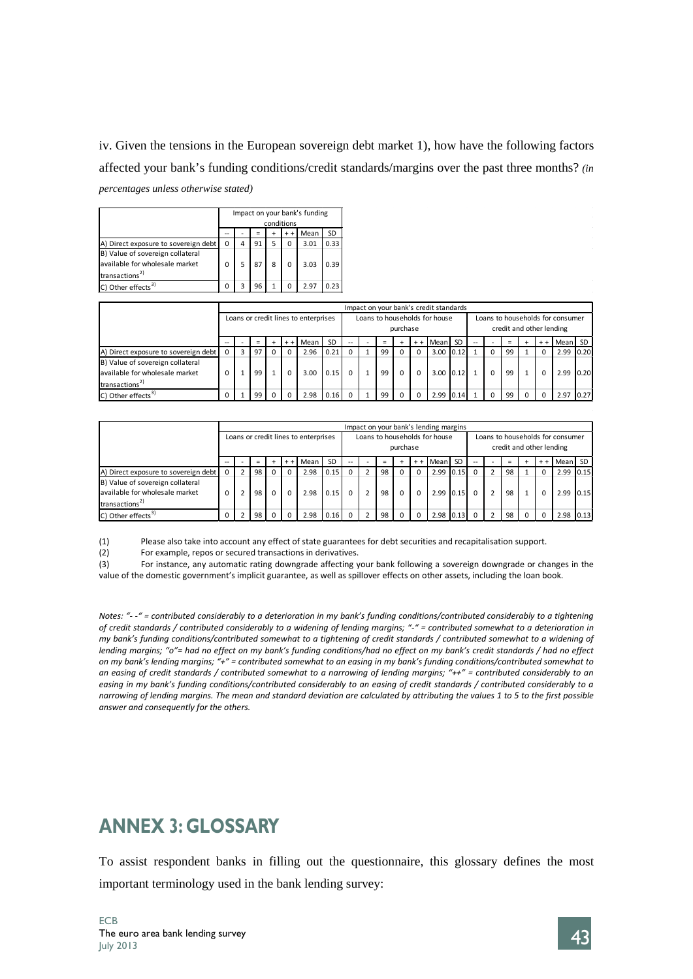iv. Given the tensions in the European sovereign debt market 1), how have the following factors affected your bank's funding conditions/credit standards/margins over the past three months? *(in percentages unless otherwise stated)*

|                                      |   |   |    |   | conditions | Impact on your bank's funding |           |
|--------------------------------------|---|---|----|---|------------|-------------------------------|-----------|
|                                      |   |   |    | ÷ | $+ +$      | Mean                          | <b>SD</b> |
| A) Direct exposure to sovereign debt | 0 | 4 | 91 | 5 | 0          | 3.01                          | 0.33      |
| B) Value of sovereign collateral     |   |   |    |   |            |                               |           |
| available for wholesale market       |   |   |    | 8 | 0          | 3.03                          | 0.39      |
| transactions <sup>2)</sup>           |   |   |    |   |            |                               |           |
| C) Other effects <sup>3)</sup>       |   |   | 96 |   | ŋ          | 297                           |           |

|                                      | Impact on your bank's credit standards |  |          |  |          |      |           |                          |                                           |    |  |          |           |           |    |                                                              |     |  |          |         |      |
|--------------------------------------|----------------------------------------|--|----------|--|----------|------|-----------|--------------------------|-------------------------------------------|----|--|----------|-----------|-----------|----|--------------------------------------------------------------|-----|--|----------|---------|------|
|                                      | Loans or credit lines to enterprises   |  |          |  |          |      |           |                          | Loans to households for house<br>purchase |    |  |          |           |           |    | Loans to households for consumer<br>credit and other lending |     |  |          |         |      |
|                                      | --                                     |  | $\equiv$ |  | $+ +$    | Mean | <b>SD</b> | $\overline{\phantom{a}}$ |                                           |    |  | $+ +$    | Mean      | <b>SD</b> | -- |                                                              | $=$ |  | $+ +$    | Mean SD |      |
| A) Direct exposure to sovereign debt |                                        |  | 97       |  |          | 2.96 | 0.21      |                          |                                           | 99 |  | $\Omega$ | 3.00 0.12 |           |    | $\Omega$                                                     | 99  |  | $\Omega$ | 2.99    | 0.20 |
| B) Value of sovereign collateral     |                                        |  |          |  |          |      |           |                          |                                           |    |  |          |           |           |    |                                                              |     |  |          |         |      |
| available for wholesale market       |                                        |  | 99       |  | $\Omega$ | 3.00 | 0.15      | $\Omega$                 | $\overline{1}$                            | 99 |  | $\Omega$ | 3.00 0.12 |           |    | $\Omega$                                                     | 99  |  | $\Omega$ | 2.99    | 0.20 |
| transactions <sup>2)</sup>           |                                        |  |          |  |          |      |           |                          |                                           |    |  |          |           |           |    |                                                              |     |  |          |         |      |
| C) Other effects <sup>3)</sup>       | 0                                      |  | 99       |  |          | 2.98 | 0.16      | $\Omega$                 |                                           | 99 |  | $\Omega$ | 2.99      | 0.14      |    | $\Omega$                                                     | 99  |  | $\Omega$ | 2.97    | 0.27 |

|                                      | Impact on your bank's lending margins |  |     |          |       |      |           |                          |                                           |          |          |          |           |           |  |                                                              |          |                |       |         |      |
|--------------------------------------|---------------------------------------|--|-----|----------|-------|------|-----------|--------------------------|-------------------------------------------|----------|----------|----------|-----------|-----------|--|--------------------------------------------------------------|----------|----------------|-------|---------|------|
|                                      | Loans or credit lines to enterprises  |  |     |          |       |      |           |                          | Loans to households for house<br>purchase |          |          |          |           |           |  | Loans to households for consumer<br>credit and other lending |          |                |       |         |      |
|                                      |                                       |  | $=$ |          | $+ +$ | Mean | <b>SD</b> | $\overline{\phantom{a}}$ |                                           | $\equiv$ |          | $+ +$    | Mean      | <b>SD</b> |  |                                                              | $\equiv$ | $\overline{ }$ | $+ +$ | Mean SD |      |
| A) Direct exposure to sovereign debt | $\Omega$                              |  | 98  | $\Omega$ |       | 2.98 | 0.15      | $\Omega$                 |                                           | 98       |          | $\Omega$ | 2.99 0.15 |           |  |                                                              | 98       |                |       | 2.99    | 0.15 |
| B) Value of sovereign collateral     |                                       |  |     |          |       |      |           |                          |                                           |          |          |          |           |           |  |                                                              |          |                |       |         |      |
| lavailable for wholesale market      | $\Omega$                              |  | 98  | $\Omega$ |       | 2.98 | 0.15      | $\Omega$                 | $\overline{2}$                            | 98       | $\Omega$ | $\Omega$ |           | 2.99 0.15 |  |                                                              | 98       |                |       | 2.99    | 0.15 |
| transactions <sup>2)</sup>           |                                       |  |     |          |       |      |           |                          |                                           |          |          |          |           |           |  |                                                              |          |                |       |         |      |
| C) Other effects <sup>3)</sup>       |                                       |  | 98  | $\Omega$ |       | 2.98 | 0.16      | $\Omega$                 |                                           | 98       | $\Omega$ | $\Omega$ |           | 2.98 0.13 |  |                                                              | 98       |                |       | 2.98    | 0.13 |

(1) Please also take into account any effect of state guarantees for debt securities and recapitalisation support.

(2) For example, repos or secured transactions in derivatives.

(3) For instance, any automatic rating downgrade affecting your bank following a sovereign downgrade or changes in the value of the domestic government's implicit guarantee, as well as spillover effects on other assets, including the loan book.

*Notes: "- -" = contributed considerably to a deterioration in my bank's funding conditions/contributed considerably to a tightening of credit standards / contributed considerably to a widening of lending margins; "-" = contributed somewhat to a deterioration in my bank's funding conditions/contributed somewhat to a tightening of credit standards / contributed somewhat to a widening of lending margins; "o"= had no effect on my bank's funding conditions/had no effect on my bank's credit standards / had no effect on my bank's lending margins; "+" = contributed somewhat to an easing in my bank's funding conditions/contributed somewhat to an easing of credit standards / contributed somewhat to a narrowing of lending margins; "++" = contributed considerably to an easing in my bank's funding conditions/contributed considerably to an easing of credit standards / contributed considerably to a narrowing of lending margins. The mean and standard deviation are calculated by attributing the values 1 to 5 to the first possible answer and consequently for the others.*

# **ANNEX 3: GLOSSARY**

To assist respondent banks in filling out the questionnaire, this glossary defines the most important terminology used in the bank lending survey:

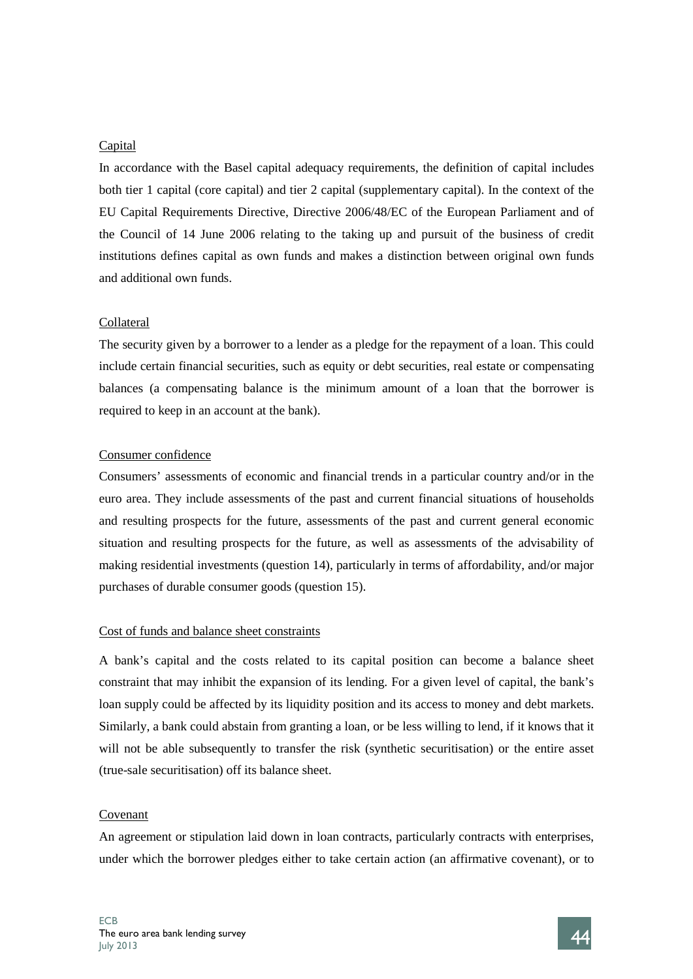### **Capital**

In accordance with the Basel capital adequacy requirements, the definition of capital includes both tier 1 capital (core capital) and tier 2 capital (supplementary capital). In the context of the EU Capital Requirements Directive, Directive 2006/48/EC of the European Parliament and of the Council of 14 June 2006 relating to the taking up and pursuit of the business of credit institutions defines capital as own funds and makes a distinction between original own funds and additional own funds.

### Collateral

The security given by a borrower to a lender as a pledge for the repayment of a loan. This could include certain financial securities, such as equity or debt securities, real estate or compensating balances (a compensating balance is the minimum amount of a loan that the borrower is required to keep in an account at the bank).

### Consumer confidence

Consumers' assessments of economic and financial trends in a particular country and/or in the euro area. They include assessments of the past and current financial situations of households and resulting prospects for the future, assessments of the past and current general economic situation and resulting prospects for the future, as well as assessments of the advisability of making residential investments (question 14), particularly in terms of affordability, and/or major purchases of durable consumer goods (question 15).

### Cost of funds and balance sheet constraints

A bank's capital and the costs related to its capital position can become a balance sheet constraint that may inhibit the expansion of its lending. For a given level of capital, the bank's loan supply could be affected by its liquidity position and its access to money and debt markets. Similarly, a bank could abstain from granting a loan, or be less willing to lend, if it knows that it will not be able subsequently to transfer the risk (synthetic securitisation) or the entire asset (true-sale securitisation) off its balance sheet.

### Covenant

An agreement or stipulation laid down in loan contracts, particularly contracts with enterprises, under which the borrower pledges either to take certain action (an affirmative covenant), or to

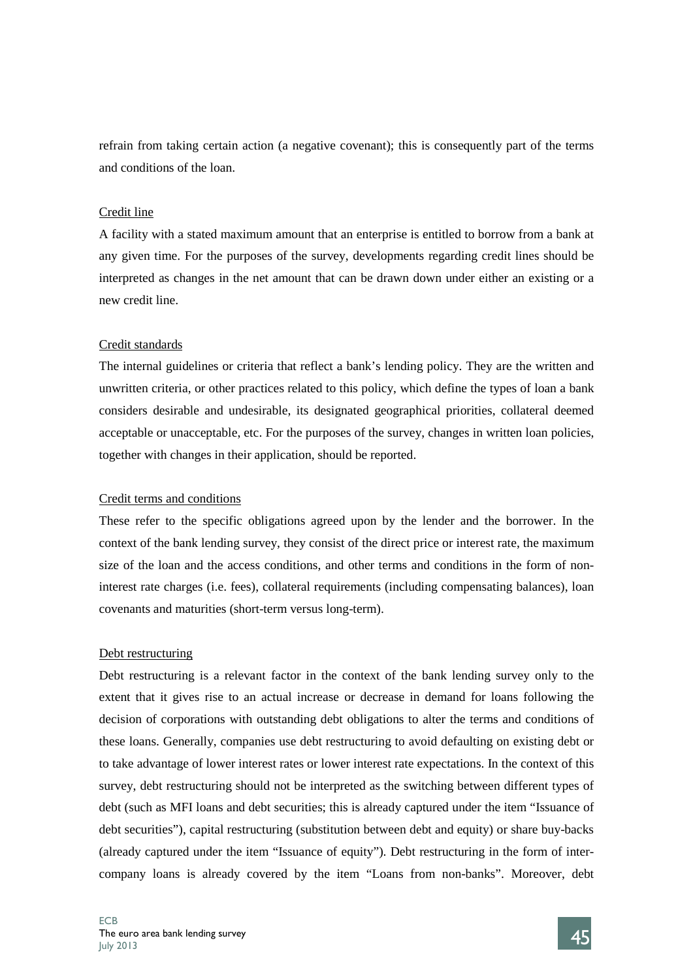refrain from taking certain action (a negative covenant); this is consequently part of the terms and conditions of the loan.

## Credit line

A facility with a stated maximum amount that an enterprise is entitled to borrow from a bank at any given time. For the purposes of the survey, developments regarding credit lines should be interpreted as changes in the net amount that can be drawn down under either an existing or a new credit line.

# Credit standards

The internal guidelines or criteria that reflect a bank's lending policy. They are the written and unwritten criteria, or other practices related to this policy, which define the types of loan a bank considers desirable and undesirable, its designated geographical priorities, collateral deemed acceptable or unacceptable, etc. For the purposes of the survey, changes in written loan policies, together with changes in their application, should be reported.

# Credit terms and conditions

These refer to the specific obligations agreed upon by the lender and the borrower. In the context of the bank lending survey, they consist of the direct price or interest rate, the maximum size of the loan and the access conditions, and other terms and conditions in the form of noninterest rate charges (i.e. fees), collateral requirements (including compensating balances), loan covenants and maturities (short-term versus long-term).

### Debt restructuring

Debt restructuring is a relevant factor in the context of the bank lending survey only to the extent that it gives rise to an actual increase or decrease in demand for loans following the decision of corporations with outstanding debt obligations to alter the terms and conditions of these loans. Generally, companies use debt restructuring to avoid defaulting on existing debt or to take advantage of lower interest rates or lower interest rate expectations. In the context of this survey, debt restructuring should not be interpreted as the switching between different types of debt (such as MFI loans and debt securities; this is already captured under the item "Issuance of debt securities"), capital restructuring (substitution between debt and equity) or share buy-backs (already captured under the item "Issuance of equity"). Debt restructuring in the form of intercompany loans is already covered by the item "Loans from non-banks". Moreover, debt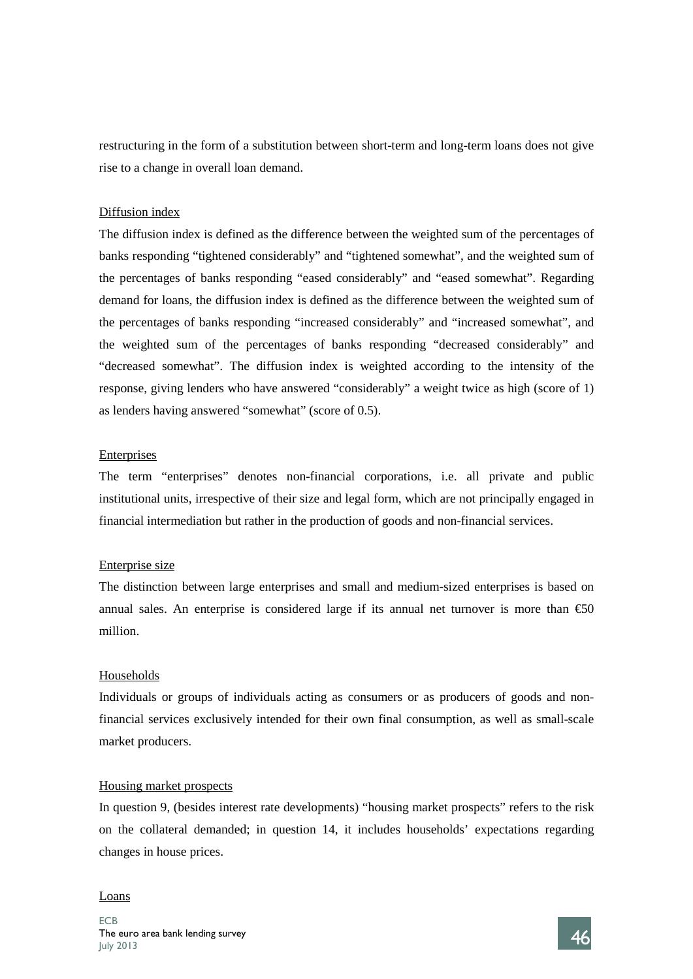restructuring in the form of a substitution between short-term and long-term loans does not give rise to a change in overall loan demand.

### Diffusion index

The diffusion index is defined as the difference between the weighted sum of the percentages of banks responding "tightened considerably" and "tightened somewhat", and the weighted sum of the percentages of banks responding "eased considerably" and "eased somewhat". Regarding demand for loans, the diffusion index is defined as the difference between the weighted sum of the percentages of banks responding "increased considerably" and "increased somewhat", and the weighted sum of the percentages of banks responding "decreased considerably" and "decreased somewhat". The diffusion index is weighted according to the intensity of the response, giving lenders who have answered "considerably" a weight twice as high (score of 1) as lenders having answered "somewhat" (score of 0.5).

### Enterprises

The term "enterprises" denotes non-financial corporations, i.e. all private and public institutional units, irrespective of their size and legal form, which are not principally engaged in financial intermediation but rather in the production of goods and non-financial services.

### Enterprise size

The distinction between large enterprises and small and medium-sized enterprises is based on annual sales. An enterprise is considered large if its annual net turnover is more than  $\epsilon$ 50 million.

### Households

Individuals or groups of individuals acting as consumers or as producers of goods and nonfinancial services exclusively intended for their own final consumption, as well as small-scale market producers.

### Housing market prospects

In question 9, (besides interest rate developments) "housing market prospects" refers to the risk on the collateral demanded; in question 14, it includes households' expectations regarding changes in house prices.

### Loans